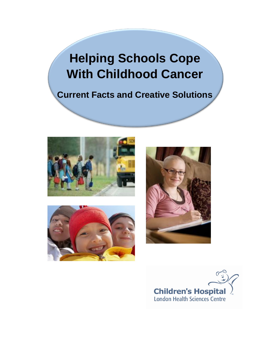# **Helping Schools Cope With Childhood Cancer**

## **Current Facts and Creative Solutions**







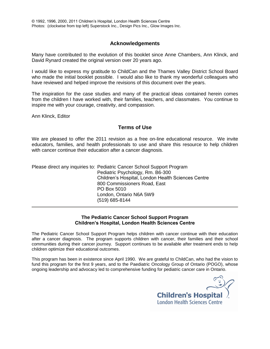#### **Acknowledgements**

Many have contributed to the evolution of this booklet since Anne Chambers, Ann Klinck, and David Rynard created the original version over 20 years ago.

I would like to express my gratitude to ChildCan and the Thames Valley District School Board who made the initial booklet possible. I would also like to thank my wonderful colleagues who have reviewed and helped improve the revisions of this document over the years.

The inspiration for the case studies and many of the practical ideas contained herein comes from the children I have worked with, their families, teachers, and classmates. You continue to inspire me with your courage, creativity, and compassion.

Ann Klinck, Editor

#### **Terms of Use**

We are pleased to offer the 2011 revision as a free on-line educational resource. We invite educators, families, and health professionals to use and share this resource to help children with cancer continue their education after a cancer diagnosis.

| Please direct any inquiries to: Pediatric Cancer School Support Program |
|-------------------------------------------------------------------------|
| Pediatric Psychology, Rm. B6-300                                        |
| Children's Hospital, London Health Sciences Centre                      |
| 800 Commissioners Road, East                                            |
| PO Box 5010                                                             |
| London, Ontario N6A 5W9                                                 |
| (519) 685-8144                                                          |

#### **The Pediatric Cancer School Support Program Children's Hospital, London Health Sciences Centre**

The Pediatric Cancer School Support Program helps children with cancer continue with their education after a cancer diagnosis. The program supports children with cancer, their families and their school communities during their cancer journey. Support continues to be available after treatment ends to help children optimize their educational outcomes.

This program has been in existence since April 1990. We are grateful to ChildCan, who had the vision to fund this program for the first 9 years, and to the Paediatric Oncology Group of Ontario (POGO), whose ongoing leadership and advocacy led to comprehensive funding for pediatric cancer care in Ontario.

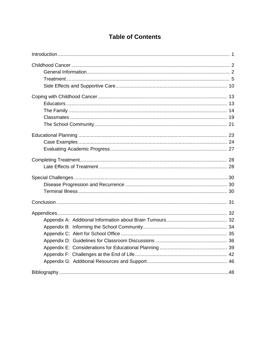### **Table of Contents**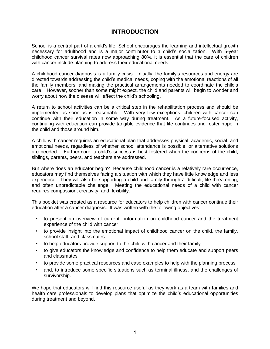### **INTRODUCTION**

School is a central part of a child's life. School encourages the learning and intellectual growth necessary for adulthood and is a major contributor to a child's socialization. With 5-year childhood cancer survival rates now approaching 80%, it is essential that the care of children with cancer include planning to address their educational needs.

A childhood cancer diagnosis is a family crisis. Initially, the family's resources and energy are directed towards addressing the child's medical needs, coping with the emotional reactions of all the family members, and making the practical arrangements needed to coordinate the child's care. However, sooner than some might expect, the child and parents will begin to wonder and worry about how the disease will affect the child's schooling.

A return to school activities can be a critical step in the rehabilitation process and should be implemented as soon as is reasonable. With very few exceptions, children with cancer can continue with their education in some way during treatment. As a future-focused activity, continuing with education can provide tangible evidence that life continues and foster hope in the child and those around him.

A child with cancer requires an educational plan that addresses physical, academic, social, and emotional needs, regardless of whether school attendance is possible, or alternative solutions are needed. Furthermore, a child's success is best fostered when the concerns of the child, siblings, parents, peers, and teachers are addressed.

But where does an educator begin? Because childhood cancer is a relatively rare occurrence, educators may find themselves facing a situation with which they have little knowledge and less experience. They will also be supporting a child and family through a difficult, life-threatening, and often unpredictable challenge. Meeting the educational needs of a child with cancer requires compassion, creativity, and flexibility.

This booklet was created as a resource for educators to help children with cancer continue their education after a cancer diagnosis. It was written with the following objectives:

- to present an overview of current information on childhood cancer and the treatment experience of the child with cancer
- to provide insight into the emotional impact of childhood cancer on the child, the family, school staff, and classmates
- to help educators provide support to the child with cancer and their family
- to give educators the knowledge and confidence to help them educate and support peers and classmates
- to provide some practical resources and case examples to help with the planning process
- and, to introduce some specific situations such as terminal illness, and the challenges of survivorship.

We hope that educators will find this resource useful as they work as a team with families and health care professionals to develop plans that optimize the child's educational opportunities during treatment and beyond.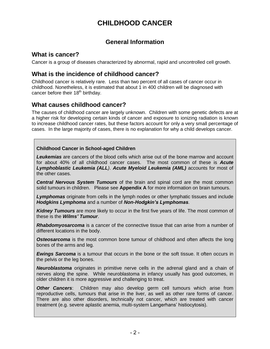### **CHILDHOOD CANCER**

### **General Information**

### **What is cancer?**

Cancer is a group of diseases characterized by abnormal, rapid and uncontrolled cell growth.

### **What is the incidence of childhood cancer?**

Childhood cancer is relatively rare. Less than two percent of all cases of cancer occur in childhood. Nonetheless, it is estimated that about 1 in 400 children will be diagnosed with cancer before their  $18<sup>th</sup>$  birthday.

### **What causes childhood cancer?**

The causes of childhood cancer are largely unknown. Children with some genetic defects are at a higher risk for developing certain kinds of cancer and exposure to ionizing radiation is known to increase childhood cancer rates, but these factors account for only a very small percentage of cases. In the large majority of cases, there is no explanation for why a child develops cancer.

#### **Childhood Cancer in School-aged Children**

*Leukemias* are cancers of the blood cells which arise out of the bone marrow and account for about 40% of all childhood cancer cases. The most common of these is *Acute Lymphoblastic Leukemia (ALL)*. *Acute Myeloid Leukemia (AML)* accounts for most of the other cases.

*Central Nervous System Tumours* of the brain and spinal cord are the most common solid tumours in children. Please see **Appendix A** for more information on brain tumours.

*Lymphomas* originate from cells in the lymph nodes or other lymphatic tissues and include *Hodgkins Lymphoma* and a number of *Non-Hodgkin's Lymphomas*.

*Kidney Tumours* are more likely to occur in the first five years of life. The most common of these is the *Wilms' Tumour*.

*Rhabdomyosarcoma* is a cancer of the connective tissue that can arise from a number of different locations in the body.

**Osteosarcoma** is the most common bone tumour of childhood and often affects the long bones of the arms and leg.

*Ewings Sarcoma* is a tumour that occurs in the bone or the soft tissue. It often occurs in the pelvis or the leg bones.

*Neuroblastoma* originates in primitive nerve cells in the adrenal gland and a chain of nerves along the spine. While neuroblastoma in infancy usually has good outcomes, in older children it is more aggressive and challenging to treat.

*Other Cancers*: Children may also develop germ cell tumours which arise from reproductive cells, tumours that arise in the liver, as well as other rare forms of cancer. There are also other disorders, technically not cancer, which are treated with cancer treatment (e.g. severe aplastic anemia, multi-system Langerhans' histiocytosis).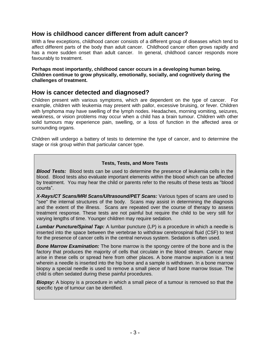### **How is childhood cancer different from adult cancer?**

With a few exceptions, childhood cancer consists of a different group of diseases which tend to affect different parts of the body than adult cancer. Childhood cancer often grows rapidly and has a more sudden onset than adult cancer. In general, childhood cancer responds more favourably to treatment.

**Perhaps most importantly, childhood cancer occurs in a developing human being. Children continue to grow physically, emotionally, socially, and cognitively during the challenges of treatment.** 

### **How is cancer detected and diagnosed?**

Children present with various symptoms, which are dependent on the type of cancer. For example, children with leukemia may present with pallor, excessive bruising, or fever. Children with lymphoma may have swelling of the lymph nodes. Headaches, morning vomiting, seizures, weakness, or vision problems may occur when a child has a brain tumour. Children with other solid tumours may experience pain, swelling, or a loss of function in the affected area or surrounding organs.

Children will undergo a battery of tests to determine the type of cancer, and to determine the stage or risk group within that particular cancer type.

#### **Tests, Tests, and More Tests**

*Blood Tests:* Blood tests can be used to determine the presence of leukemia cells in the blood. Blood tests also evaluate important elements within the blood which can be affected by treatment. You may hear the child or parents refer to the results of these tests as "blood counts".

*X-Rays/CT Scans/MRI Scans/Ultrasound/PET Scans:* Various types of scans are used to "see" the internal structures of the body. Scans may assist in determining the diagnosis and the extent of the illness. Scans are repeated over the course of therapy to assess treatment response. These tests are not painful but require the child to be very still for varying lengths of time. Younger children may require sedation.

*Lumbar Puncture/Spinal Tap:* A lumbar puncture (LP) is a procedure in which a needle is inserted into the space between the vertebrae to withdraw cerebrospinal fluid (CSF) to test for the presence of cancer cells in the central nervous system. Sedation is often used.

*Bone Marrow Examination:* The bone marrow is the spongy centre of the bone and is the factory that produces the majority of cells that circulate in the blood stream. Cancer may arise in these cells or spread here from other places. A bone marrow aspiration is a test wherein a needle is inserted into the hip bone and a sample is withdrawn. In a bone marrow biopsy a special needle is used to remove a small piece of hard bone marrow tissue. The child is often sedated during these painful procedures.

*Biopsy:* A biopsy is a procedure in which a small piece of a tumour is removed so that the specific type of tumour can be identified.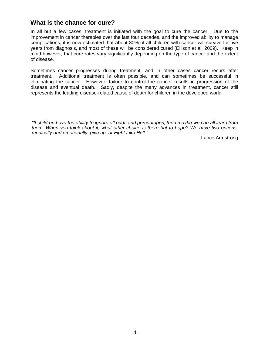### **What is the chance for cure?**

In all but a few cases, treatment is initiated with the goal to cure the cancer. Due to the improvement in cancer therapies over the last four decades, and the improved ability to manage complications, it is now estimated that about 80% of all children with cancer will survive for five years from diagnosis, and most of these will be considered cured (Ellison et al, 2009). Keep in mind however, that cure rates vary significantly depending on the type of cancer and the extent of disease.

Sometimes cancer progresses during treatment, and in other cases cancer recurs after treatment. Additional treatment is often possible, and can sometimes be successful in eliminating the cancer. However, failure to control the cancer results in progression of the disease and eventual death. Sadly, despite the many advances in treatment, cancer still represents the leading disease-related cause of death for children in the developed world.

*"If children have the ability to ignore all odds and percentages, then maybe we can all learn from them. When you think about it, what other choice is there but to hope? We have two options, medically and emotionally: give up, or Fight Like Hell."*

Lance Armstrong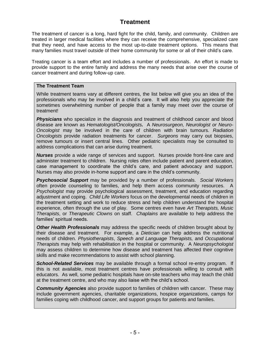### **Treatment**

The treatment of cancer is a long, hard fight for the child, family, and community. Children are treated in larger medical facilities where they can receive the comprehensive, specialized care that they need, and have access to the most up-to-date treatment options. This means that many families must travel outside of their home community for some or all of their child's care.

Treating cancer is a team effort and includes a number of professionals. An effort is made to provide support to the entire family and address the many needs that arise over the course of cancer treatment and during follow-up care.

#### **The Treatment Team**

While treatment teams vary at different centres, the list below will give you an idea of the professionals who may be involved in a child's care. It will also help you appreciate the sometimes overwhelming number of people that a family may meet over the course of treatment!

*Physicians* who specialize in the diagnosis and treatment of childhood cancer and blood disease are known as *Hematologist/Oncologists.* A *Neurosurgeon, Neurologist or Neuro-Oncologist* may be involved in the care of children with brain tumours. *Radiation Oncologists* provide radiation treatments for cancer. *Surgeons* may carry out biopsies, remove tumours or insert central lines. Other pediatric specialists may be consulted to address complications that can arise during treatment.

*Nurses* provide a wide range of services and support. Nurses provide front-line care and administer treatment to children. Nursing roles often include patient and parent education, case management to coordinate the child's care, and patient advocacy and support. Nurses may also provide in-home support and care in the child's community.

*Psychosocial Support* may be provided by a number of professionals. *Social Workers* often provide counseling to families, and help them access community resources. A *Psychologist* may provide psychological assessment, treatment, and education regarding adjustment and coping. *Child Life Workers* focus on the developmental needs of children in the treatment setting and work to reduce stress and help children understand the hospital experience, often through the use of play. Some centres even have *Art Therapists, Music Therapists*, or *Therapeutic Clowns* on staff. *Chaplains* are available to help address the families' spiritual needs.

*Other Health Professionals* may address the specific needs of children brought about by their disease and treatment. For example, a *Dietician* can help address the nutritional needs of children. *Physiotherapists*, *Speech and Language Therapists,* and *Occupational Therapist*s may help with rehabilitation in the hospital or community. A *Neuropsychologist* may assess children to determine how disease and treatment has affected their cognitive skills and make recommendations to assist with school planning.

*School-Related Services* may be available through a formal school re-entry program. If this is not available, most treatment centres have professionals willing to consult with educators. As well, some pediatric hospitals have on-site teachers who may teach the child at the treatment centre, and who may also liaise with the child's school.

*Community Agencies* also provide support to families of children with cancer. These may include government agencies, charitable organizations, hospice organizations, camps for families coping with childhood cancer, and support groups for patients and families.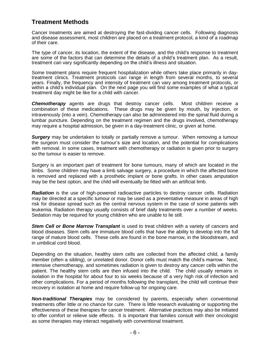### **Treatment Methods**

Cancer treatments are aimed at destroying the fast-dividing cancer cells. Following diagnosis and disease assessment, most children are placed on a treatment protocol, a kind of a roadmap of their care.

The type of cancer, its location, the extent of the disease, and the child's response to treatment are some of the factors that can determine the details of a child's treatment plan. As a result, treatment can vary significantly depending on the child's illness and situation.

Some treatment plans require frequent hospitalization while others take place primarily in daytreatment clinics. Treatment protocols can range in length from several months, to several years. Finally, the frequency and intensity of treatment can vary among treatment protocols, or within a child's individual plan. On the next page you will find some examples of what a typical treatment day might be like for a child with cancer.

*Chemotherapy* agents are drugs that destroy cancer cells. Most children receive a combination of these medications. These drugs may be given by mouth, by injection, or intravenously (into a vein). Chemotherapy can also be administered into the spinal fluid during a lumbar puncture. Depending on the treatment regimen and the drugs involved, chemotherapy may require a hospital admission, be given in a day-treatment clinic, or given at home.

*Surgery* may be undertaken to totally or partially remove a tumour.When removing a tumour the surgeon must consider the tumour's size and location, and the potential for complications with removal. In some cases, treatment with chemotherapy or radiation is given prior to surgery so the tumour is easier to remove.

Surgery is an important part of treatment for bone tumours, many of which are located in the limbs. Some children may have a limb salvage surgery, a procedure in which the affected bone is removed and replaced with a prosthetic implant or bone grafts. In other cases amputation may be the best option, and the child will eventually be fitted with an artificial limb.

*Radiation* is the use of high-powered radioactive particles to destroy cancer cells. Radiation may be directed at a specific tumour or may be used as a preventative measure in areas of high risk for disease spread such as the central nervous system in the case of some patients with leukemia. Radiation therapy usually consists of brief daily treatments over a number of weeks. Sedation may be required for young children who are unable to lie still.

*Stem Cell or Bone Marrow Transplant* is used to treat children with a variety of cancers and blood diseases. Stem cells are immature blood cells that have the ability to develop into the full range of mature blood cells. These cells are found in the bone marrow, in the bloodstream, and in umbilical cord blood.

Depending on the situation, healthy stem cells are collected from the affected child, a family member (often a sibling), or unrelated donor. Donor cells must match the child's marrow. Next, intensive chemotherapy, and sometimes radiation is given to destroy any cancer cells within the patient. The healthy stem cells are then infused into the child. The child usually remains in isolation in the hospital for about four to six weeks because of a very high risk of infection and other complications. For a period of months following the transplant, the child will continue their recovery in isolation at home and require follow-up for ongoing care.

*Non-traditional Therapies* may be considered by parents, especially when conventional treatments offer little or no chance for cure. There is little research evaluating or supporting the effectiveness of these therapies for cancer treatment. Alternative practices may also be initiated to offer comfort or relieve side effects. It is important that families consult with their oncologist as some therapies may interact negatively with conventional treatment.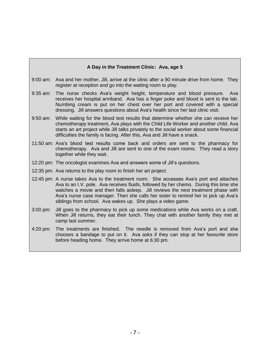#### **A Day in the Treatment Clinic: Ava, age 5**

- 9:00 am: Ava and her mother, Jill, arrive at the clinic after a 90 minute drive from home. They register at reception and go into the waiting room to play.
- 9:35 am: The nurse checks Ava's weight height, temperature and blood pressure. Ava receives her hospital armband. Ava has a finger poke and blood is sent to the lab. Numbing cream is put on her chest over her port and covered with a special dressing. Jill answers questions about Ava's health since her last clinic visit.
- 9:50 am: While waiting for the blood test results that determine whether she can receive her chemotherapy treatment, Ava plays with the Child Life Worker and another child. Ava starts an art project while Jill talks privately to the social worker about some financial difficulties the family is facing. After this, Ava and Jill have a snack.
- 11:50 am: Ava's blood test results come back and orders are sent to the pharmacy for chemotherapy. Ava and Jill are sent to one of the exam rooms. They read a story together while they wait.
- 12:20 pm: The oncologist examines Ava and answers some of Jill's questions.
- 12:35 pm: Ava returns to the play room to finish her art project.
- 12:45 pm: A nurse takes Ava to the treatment room. She accesses Ava's port and attaches Ava to an I.V. pole. Ava receives fluids, followed by her chemo. During this time she watches a movie and then falls asleep. Jill reviews the next treatment phase with Ava's nurse case manager. Then she calls her sister to remind her to pick up Ava's siblings from school. Ava wakes up. She plays a video game.
- 3:00 pm: Jill goes to the pharmacy to pick up some medications while Ava works on a craft. When Jill returns, they eat their lunch. They chat with another family they met at camp last summer.
- 4:20 pm: The treatments are finished. The needle is removed from Ava's port and she chooses a bandage to put on it. Ava asks if they can stop at her favourite store before heading home. They arrive home at 6:30 pm.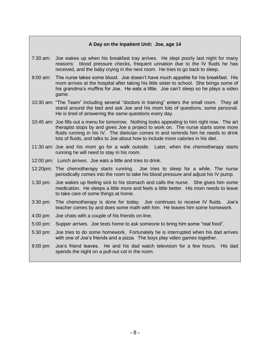#### **A Day on the Inpatient Unit: Joe, age 14**

- 7:30 am: Joe wakes up when his breakfast tray arrives. He slept poorly last night for many reasons: blood pressure checks, frequent urination due to the IV fluids he has received, and the baby crying in the next room. He tries to go back to sleep.
- 9:00 am: The nurse takes some blood. Joe doesn't have much appetite for his breakfast. His mom arrives at the hospital after taking his little sister to school. She brings some of his grandma's muffins for Joe. He eats a little. Joe can't sleep so he plays a video game.
- 10:30 am: "The Team" including several "doctors in training" enters the small room. They all stand around the bed and ask Joe and his mom lots of questions, some personal. He is tired of answering the same questions every day.
- 10:45 am: Joe fills out a menu for tomorrow. Nothing looks appealing to him right now. The art therapist stops by and gives Joe a project to work on. The nurse starts some more fluids running in his IV. The dietician comes in and reminds him he needs to drink lots of fluids, and talks to Joe about how to include more calories in his diet.
- 11:30 am: Joe and his mom go for a walk outside. Later, when the chemotherapy starts running he will need to stay in his room.
- 12:00 pm: Lunch arrives. Joe eats a little and tries to drink.
- 12:20pm: The chemotherapy starts running. Joe tries to sleep for a while. The nurse periodically comes into the room to take his blood pressure and adjust his IV pump.
- 1:30 pm: Joe wakes up feeling sick to his stomach and calls the nurse. She gives him some medication. He sleeps a little more and feels a little better. His mom needs to leave to take care of some things at home.
- 3:30 pm: The chemotherapy is done for today. Joe continues to receive IV fluids. Joe's teacher comes by and does some math with him. He leaves him some homework.
- 4:00 pm: Joe chats with a couple of his friends on-line.
- 5:00 pm: Supper arrives. Joe texts home to ask someone to bring him some "real food".
- 5:30 pm: Joe tries to do some homework. Fortunately he is interrupted when his dad arrives with one of Joe's friends and a pizza. The boys play video games together.
- 9:00 pm: Joe's friend leaves. He and his dad watch television for a few hours. His dad spends the night on a pull-out cot in the room.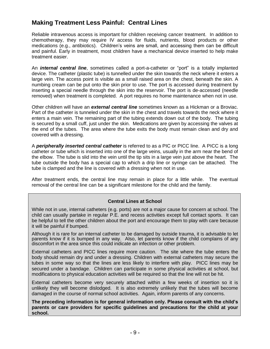### **Making Treatment Less Painful: Central Lines**

Reliable intravenous access is important for children receiving cancer treatment. In addition to chemotherapy, they may require IV access for fluids, nutrients, blood products or other medications (e.g., antibiotics). Children's veins are small, and accessing them can be difficult and painful. Early in treatment, most children have a mechanical device inserted to help make treatment easier.

An *internal central line*, sometimes called a port-a-catheter or "port" is a totally implanted device. The catheter (plastic tube) is tunnelled under the skin towards the neck where it enters a large vein. The access point is visible as a small raised area on the chest, beneath the skin. A numbing cream can be put onto the skin prior to use. The port is accessed during treatment by inserting a special needle through the skin into the reservoir. The port is de-accessed (needle removed) when treatment is completed. A port requires no home maintenance when not in use.

Other children will have an *external central line* sometimes known as a Hickman or a Broviac. Part of the catheter is tunneled under the skin in the chest and travels towards the neck where it enters a main vein. The remaining part of the tubing extends down out of the body. The tubing is secured by a small cuff, just under the skin. Medications are given by accessing the valves at the end of the tubes. The area where the tube exits the body must remain clean and dry and covered with a dressing.

A *peripherally inserted central catheter* is referred to as a PIC or PICC line. A PICC is a long catheter or tube which is inserted into one of the large veins, usually in the arm near the bend of the elbow. The tube is slid into the vein until the tip sits in a large vein just above the heart. The tube outside the body has a special cap to which a drip line or syringe can be attached. The tube is clamped and the line is covered with a dressing when not in use.

After treatment ends, the central line may remain in place for a little while. The eventual removal of the central line can be a significant milestone for the child and the family.

#### **Central Lines at School**

While not in use, internal catheters (e.g. ports) are not a major cause for concern at school. The child can usually partake in regular P.E. and recess activities except full contact sports. It can be helpful to tell the other children about the port and encourage them to play with care because it will be painful if bumped.

Although it is rare for an internal catheter to be damaged by outside trauma, it is advisable to let parents know if it is bumped in any way. Also, let parents know if the child complains of any discomfort in the area since this could indicate an infection or other problem.

External catheters and PICC lines require more caution. The site where the tube enters the body should remain dry and under a dressing. Children with external catheters may secure the tubes in some way so that the lines are less likely to interfere with play. PICC lines may be secured under a bandage. Children can participate in some physical activities at school, but modifications to physical education activities will be required so that the line will not be hit.

External catheters become very securely attached within a few weeks of insertion so it is unlikely they will become dislodged. It is also extremely unlikely that the tubes will become damaged in the course of normal school activities. Again, inform parents of any concerns.

**The preceding information is for general information only. Please consult with the child's parents or care providers for specific guidelines and precautions for the child at your school.**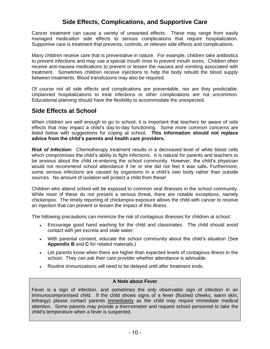### **Side Effects, Complications, and Supportive Care**

Cancer treatment can cause a variety of unwanted effects. These may range from easily managed medication side effects to serious complications that require hospitalization. Supportive care is treatment that prevents, controls, or relieves side effects and complications.

Many children receive care that is preventative in nature. For example, children take antibiotics to prevent infections and may use a special mouth rinse to prevent mouth sores. Children often receive anti-nausea medications to prevent or lessen the nausea and vomiting associated with treatment. Sometimes children receive injections to help the body rebuild the blood supply between treatments. Blood transfusions may also be required.

Of course not all side effects and complications are preventable, nor are they predictable. Unplanned hospitalizations to treat infections or other complications are not uncommon. Educational planning should have the flexibility to accommodate the unexpected.

### **Side Effects at School**

When children are well enough to go to school, it is important that teachers be aware of side effects that may impact a child's day-to-day functioning. Some more common concerns are listed below with suggestions for coping at school. **This information should not replace advice from the child's parents and health care providers.**

**Risk of Infection:** Chemotherapy treatment results in a decreased level of white blood cells which compromises the child's ability to fight infections. It is natural for parents and teachers to be anxious about the child re-entering the school community. However, the child's physician would not recommend school attendance if he or she did not feel it was safe**.** Furthermore, some serious infections are caused by organisms in a child's own body rather than outside sources. No amount of isolation will protect a child from these!

Children who attend school will be exposed to common viral illnesses in the school community. While most of these do not present a serious threat, there are notable exceptions, namely chickenpox. The timely reporting of chickenpox exposure allows the child with cancer to receive an injection that can prevent or lessen the impact of this illness.

The following precautions can minimize the risk of contagious illnesses for children at school:

- Encourage good hand washing for the child and classmates. The child should avoid contact with pet excreta and stale water.
- With parental consent, educate the school community about the child's situation (See **Appendix B** and **C** for related materials.)
- Let parents know when there are higher than expected levels of contagious illness in the school. They can ask their care provider whether attendance is advisable.
- Routine immunizations will need to be delayed until after treatment ends.

#### **A Note about Fever**

Fever is a sign of infection, and sometimes the only observable sign of infection in an immunocompromised child. If the child shows signs of a fever (flushed cheeks, warm skin, lethargy) please contact parents immediately as the child may require immediate medical attention. Some parents may provide a thermometer and request school personnel to take the child's temperature when a fever is suspected.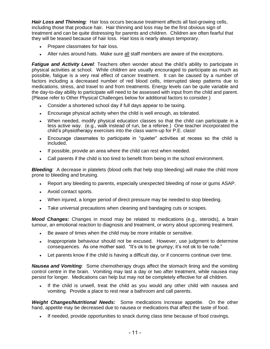*Hair Loss and Thinning:* Hair loss occurs because treatment affects all fast-growing cells, including those that produce hair. Hair thinning and loss may be the first obvious sign of treatment and can be quite distressing for parents and children. Children are often fearful that they will be teased because of hair loss. Hair loss is nearly always temporary.

- Prepare classmates for hair loss.
- Alter rules around hats. Make sure all staff members are aware of the exceptions.

*Fatigue and Activity Level:* Teachers often wonder about the child's ability to participate in physical activities at school. While children are usually encouraged to participate as much as possible, fatigue is a very real effect of cancer treatment. It can be caused by a number of factors including a decreased number of red blood cells, interrupted sleep patterns due to medications, stress, and travel to and from treatments. Energy levels can be quite variable and the day-to-day ability to participate will need to be assessed with input from the child and parent. (Please refer to Other Physical Challenges below for additional factors to consider.)

- Consider a shortened school day if full days appear to be taxing.
- Encourage physical activity when the child is well enough, as tolerated.
- When needed, modify physical education classes so that the child can participate in a less active way. (e.g., walk instead of run, be a referee.) One teacher incorporated the child's physiotherapy exercises into the class warm-up for P.E. class!
- Encourage classmates to participate in "quieter" activities at recess so the child is  $\bullet$ included.
- If possible, provide an area where the child can rest when needed.  $\bullet$
- Call parents if the child is too tired to benefit from being in the school environment.  $\bullet$

*Bleeding:* A decrease in platelets (blood cells that help stop bleeding) will make the child more prone to bleeding and bruising.

- Report any bleeding to parents, especially unexpected bleeding of nose or gums ASAP.
- Avoid contact sports.
- When injured, a longer period of direct pressure may be needed to stop bleeding.
- Take universal precautions when cleaning and bandaging cuts or scrapes.  $\bullet$

*Mood Changes:* Changes in mood may be related to medications (e.g., steroids), a brain tumour, an emotional reaction to diagnosis and treatment, or worry about upcoming treatment.

- Be aware of times when the child may be more irritable or sensitive.
- Inappropriate behaviour should not be excused. However, use judgment to determine consequences. As one mother said. "It's ok to be grumpy; it's not ok to be rude."
- Let parents know if the child is having a difficult day, or if concerns continue over time.  $\bullet$

*Nausea and Vomiting*: Some chemotherapy drugs affect the stomach lining and the vomiting control centre in the brain. Vomiting may last a day or two after treatment, while nausea may persist for longer. Medications can help but may not be completely effective for all children.

If the child is unwell, treat the child as you would any other child with nausea and vomiting. Provide a place to rest near a bathroom and call parents.

*Weight Changes/Nutritional Needs:* Some medications increase appetite. On the other hand, appetite may be decreased due to nausea or medications that affect the taste of food.

If needed, provide opportunities to snack during class time because of food cravings.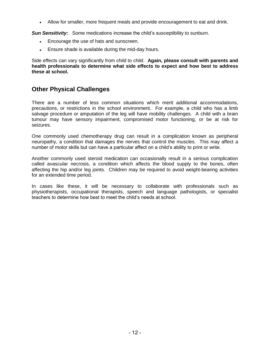Allow for smaller, more frequent meals and provide encouragement to eat and drink.

**Sun Sensitivity:** Some medications increase the child's susceptibility to sunburn.

- Encourage the use of hats and sunscreen.
- Ensure shade is available during the mid-day hours.

Side effects can vary significantly from child to child. **Again, please consult with parents and health professionals to determine what side effects to expect and how best to address these at school.**

### **Other Physical Challenges**

There are a number of less common situations which merit additional accommodations, precautions, or restrictions in the school environment. For example, a child who has a limb salvage procedure or amputation of the leg will have mobility challenges. A child with a brain tumour may have sensory impairment, compromised motor functioning, or be at risk for seizures.

One commonly used chemotherapy drug can result in a complication known as peripheral neuropathy, a condition that damages the nerves that control the muscles. This may affect a number of motor skills but can have a particular affect on a child's ability to print or write.

Another commonly used steroid medication can occasionally result in a serious complication called avascular necrosis, a condition which affects the blood supply to the bones, often affecting the hip and/or leg joints. Children may be required to avoid weight-bearing activities for an extended time period.

In cases like these, it will be necessary to collaborate with professionals such as physiotherapists, occupational therapists, speech and language pathologists, or specialist teachers to determine how best to meet the child's needs at school.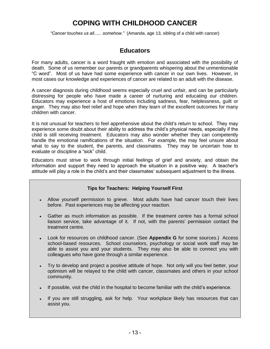### **COPING WITH CHILDHOOD CANCER**

*"Cancer touches us all...... somehow."* (Amanda, age 13, sibling of a child with cancer)

### **Educators**

For many adults, cancer is a word fraught with emotion and associated with the possibility of death. Some of us remember our parents or grandparents whispering about the unmentionable "C word". Most of us have had some experience with cancer in our own lives. However, in most cases our knowledge and experiences of cancer are related to an adult with the disease.

A cancer diagnosis during childhood seems especially cruel and unfair, and can be particularly distressing for people who have made a career of nurturing and educating our children. Educators may experience a host of emotions including sadness, fear, helplessness, guilt or anger. They may also feel relief and hope when they learn of the excellent outcomes for many children with cancer.

It is not unusual for teachers to feel apprehensive about the child's return to school. They may experience some doubt about their ability to address the child's physical needs, especially if the child is still receiving treatment. Educators may also wonder whether they can competently handle the emotional ramifications of the situation. For example, the may feel unsure about what to say to the student, the parents, and classmates. They may be uncertain how to evaluate or discipline a "sick" child.

Educators must strive to work through initial feelings of grief and anxiety, and obtain the information and support they need to approach the situation in a positive way. A teacher's attitude will play a role in the child's and their classmates' subsequent adjustment to the illness.

#### **Tips for Teachers: Helping Yourself First**

- Allow yourself permission to grieve. Most adults have had cancer touch their lives before. Past experiences may be affecting your reaction.
- Gather as much information as possible. If the treatment centre has a formal school liaison service, take advantage of it. If not, with the parents' permission contact the treatment centre.
- Look for resources on childhood cancer. (See **Appendix G** for some sources.) Access school-based resources. School counselors, psychology or social work staff may be able to assist you and your students. They may also be able to connect you with colleagues who have gone through a similar experience.
- Try to develop and project a positive attitude of hope. Not only will you feel better, your optimism will be relayed to the child with cancer, classmates and others in your school community.
- If possible, visit the child in the hospital to become familiar with the child's experience.
- If you are still struggling, ask for help. Your workplace likely has resources that can assist you.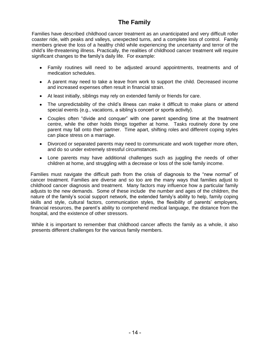### **The Family**

Families have described childhood cancer treatment as an unanticipated and very difficult roller coaster ride, with peaks and valleys, unexpected turns, and a complete loss of control. Family members grieve the loss of a healthy child while experiencing the uncertainty and terror of the child's life-threatening illness. Practically, the realities of childhood cancer treatment will require significant changes to the family's daily life. For example:

- Family routines will need to be adjusted around appointments, treatments and of medication schedules.
- A parent may need to take a leave from work to support the child. Decreased income and increased expenses often result in financial strain.
- At least initially, siblings may rely on extended family or friends for care.
- The unpredictability of the child's illness can make it difficult to make plans or attend special events (e.g., vacations, a sibling's concert or sports activity).
- Couples often "divide and conquer" with one parent spending time at the treatment centre, while the other holds things together at home. Tasks routinely done by one parent may fall onto their partner. Time apart, shifting roles and different coping styles can place stress on a marriage.
- Divorced or separated parents may need to communicate and work together more often, and do so under extremely stressful circumstances.
- Lone parents may have additional challenges such as juggling the needs of other children at home, and struggling with a decrease or loss of the sole family income.

Families must navigate the difficult path from the crisis of diagnosis to the "new normal" of cancer treatment. Families are diverse and so too are the many ways that families adjust to childhood cancer diagnosis and treatment. Many factors may influence how a particular family adjusts to the new demands. Some of these include the number and ages of the children, the nature of the family's social support network, the extended family's ability to help, family coping skills and style, cultural factors, communication styles, the flexibility of parents' employers, financial resources, the parent's ability to comprehend medical language, the distance from the hospital, and the existence of other stressors.

While it is important to remember that childhood cancer affects the family as a whole, it also presents different challenges for the various family members.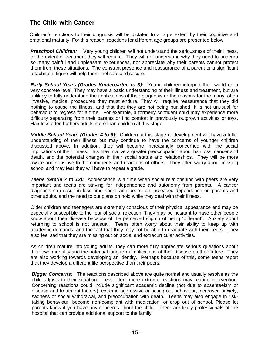### **The Child with Cancer**

Children's reactions to their diagnosis will be dictated to a large extent by their cognitive and emotional maturity. For this reason, reactions for different age groups are presented below.

**Preschool Children:** Very young children will not understand the seriousness of their illness, or the extent of treatment they will require. They will not understand why they need to undergo so many painful and unpleasant experiences, nor appreciate why their parents cannot protect them from these situations. The constant presence and reassurance of a parent or a significant attachment figure will help them feel safe and secure.

*Early School Years (Grades Kindergarten to 3):* Young children interpret their world on a very concrete level. They may have a basic understanding of their illness and treatment, but are unlikely to fully understand the implications of their diagnosis or the reasons for the many, often invasive, medical procedures they must endure. They will require reassurance that they did nothing to cause the illness, and that that they are not being punished. It is not unusual for behaviour to regress for a time. For example, a formerly confident child may experience more difficulty separating from their parents or find comfort in previously outgrown activities or toys. Hair loss often bothers adults more than children at this stage.

*Middle School Years (Grades 4 to 6):*Children at this stage of development will have a fuller understanding of their illness but may continue to have the concerns of younger children discussed above. In addition, they will become increasingly concerned with the social implications of their illness. This may involve a greater preoccupation about hair loss, cancer and death, and the potential changes in their social status and relationships. They will be more aware and sensitive to the comments and reactions of others. They often worry about missing school and may fear they will have to repeat a grade.

**Teens (Grade 7 to 12):** Adolescence is a time when social relationships with peers are very important and teens are striving for independence and autonomy from parents. A cancer diagnosis can result in less time spent with peers, an increased dependence on parents and other adults, and the need to put plans on hold while they deal with their illness.

Older children and teenagers are extremely conscious of their physical appearance and may be especially susceptible to the fear of social rejection. They may be hesitant to have other people know about their disease because of the perceived stigma of being "different". Anxiety about returning to school is not unusual. Teens often worry about their ability to keep up with academic demands, and the fact that they may not be able to graduate with their peers. They also feel sad that they are missing out on social and extracurricular activities.

As children mature into young adults, they can more fully appreciate serious questions about their own mortality and the potential long-term implications of their disease on their future. They are also working towards developing an identity. Perhaps because of this, some teens report that they develop a different life perspective than their peers.

*Bigger Concerns:* The reactions described above are quite normal and usually resolve as the child adjusts to their situation. Less often, more extreme reactions may require intervention. Concerning reactions could include significant academic decline (not due to absenteeism or disease and treatment factors), extreme aggressive or acting out behaviour, increased anxiety, sadness or social withdrawal, and preoccupation with death. Teens may also engage in risktaking behaviour, become non-compliant with medication, or drop out of school. Please let parents know if you have any concerns about the child. There are likely professionals at the hospital that can provide additional support to the family.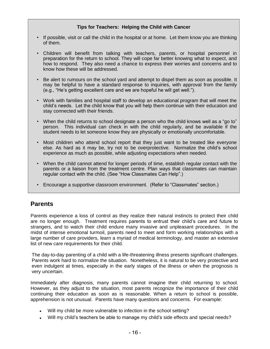#### **Tips for Teachers: Helping the Child with Cancer**

- If possible, visit or call the child in the hospital or at home. Let them know you are thinking of them.
- Children will benefit from talking with teachers, parents, or hospital personnel in preparation for the return to school. They will cope far better knowing what to expect, and how to respond. They also need a chance to express their worries and concerns and to know how these will be addressed.
- Be alert to rumours on the school yard and attempt to dispel them as soon as possible. It may be helpful to have a standard response to inquiries, with approval from the family (e.g., "He's getting excellent care and we are hopeful he will get well.").
- Work with families and hospital staff to develop an educational program that will meet the child's needs. Let the child know that you will help them continue with their education and stay connected with their friends.
- When the child returns to school designate a person who the child knows well as a "go to" person. This individual can check in with the child regularly, and be available if the student needs to let someone know they are physically or emotionally uncomfortable.
- Most children who attend school report that they just want to be treated like everyone else. As hard as it may be, try not to be overprotective. Normalize the child's school experience as much as possible, while adjusting expectations when needed.
- When the child cannot attend for longer periods of time, establish regular contact with the parents or a liaison from the treatment centre. Plan ways that classmates can maintain regular contact with the child. (See "How Classmates Can Help".)
- Encourage a supportive classroom environment. (Refer to "Classmates" section.)

### **Parents**

Parents experience a loss of control as they realize their natural instincts to protect their child are no longer enough. Treatment requires parents to entrust their child's care and future to strangers, and to watch their child endure many invasive and unpleasant procedures. In the midst of intense emotional turmoil, parents need to meet and form working relationships with a large number of care providers, learn a myriad of medical terminology, and master an extensive list of new care requirements for their child.

The day-to-day parenting of a child with a life-threatening illness presents significant challenges. Parents work hard to normalize the situation. Nonetheless, it is natural to be very protective and even indulgent at times, especially in the early stages of the illness or when the prognosis is very uncertain.

Immediately after diagnosis, many parents cannot imagine their child returning to school. However, as they adjust to the situation, most parents recognize the importance of their child continuing their education as soon as is reasonable. When a return to school is possible, apprehension is not unusual. Parents have many questions and concerns. For example:

- Will my child be more vulnerable to infection in the school setting?
- Will my child's teachers be able to manage my child's side effects and special needs?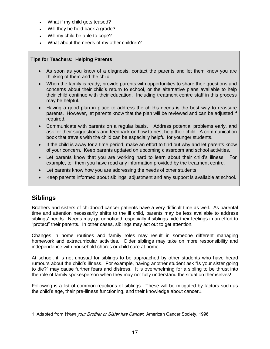- What if my child gets teased?
- Will they be held back a grade?
- Will my child be able to cope?
- What about the needs of my other children?

#### **Tips for Teachers: Helping Parents**

- As soon as you know of a diagnosis, contact the parents and let them know you are thinking of them and the child.
- When the family is ready, provide parents with opportunities to share their questions and concerns about their child's return to school, or the alternative plans available to help their child continue with their education. Including treatment centre staff in this process may be helpful.
- Having a good plan in place to address the child's needs is the best way to reassure parents. However, let parents know that the plan will be reviewed and can be adjusted if required.
- Communicate with parents on a regular basis. Address potential problems early, and ask for their suggestions and feedback on how to best help their child. A communication book that travels with the child can be especially helpful for younger students.
- If the child is away for a time period, make an effort to find out why and let parents know of your concern. Keep parents updated on upcoming classroom and school activities.
- Let parents know that you are working hard to learn about their child's illness. For example, tell them you have read any information provided by the treatment centre.
- Let parents know how you are addressing the needs of other students.
- Keep parents informed about siblings' adjustment and any support is available at school.

### **Siblings**

Brothers and sisters of childhood cancer patients have a very difficult time as well. As parental time and attention necessarily shifts to the ill child, parents may be less available to address siblings' needs. Needs may go unnoticed, especially if siblings hide their feelings in an effort to "protect" their parents. In other cases, siblings may act out to get attention.

Changes in home routines and family roles may result in someone different managing homework and extracurricular activities. Older siblings may take on more responsibility and independence with household chores or child care at home.

At school, it is not unusual for siblings to be approached by other students who have heard rumours about the child's illness. For example, having another student ask "Is your sister going to die?" may cause further fears and distress. It is overwhelming for a sibling to be thrust into the role of family spokesperson when they may not fully understand the situation themselves!

Following is a list of common reactions of siblings. These will be mitigated by factors such as the child's age, their pre-illness functioning, and their knowledge about cancer1.

<sup>1</sup> Adapted from When your Brother or Sister has Cancer. American Cancer Society, 1996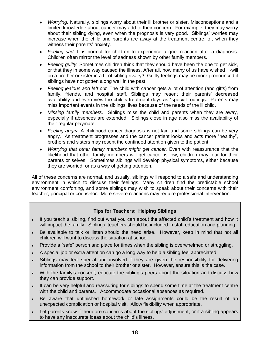- *Worrying.* Naturally, siblings worry about their ill brother or sister. Misconceptions and a limited knowledge about cancer may add to their concern. For example, they may worry about their sibling dying, even when the prognosis is very good. Siblings' worries may increase when the child and parents are away at the treatment centre, or, when they witness their parents' anxiety.
- *Feeling sad.* It is normal for children to experience a grief reaction after a diagnosis. Children often mirror the level of sadness shown by other family members.
- *Feeling guilty.* Sometimes children think that they should have been the one to get sick, or that they in some way caused the illness. After all, how many of us have wished ill-will on a brother or sister in a fit of sibling rivalry? Guilty feelings may be more pronounced if siblings have not gotten along well in the past.
- *Feeling jealous and left out.* The child with cancer gets a lot of attention (and gifts) from family, friends, and hospital staff. Siblings may resent their parents' decreased availability and even view the child's treatment days as "special" outings. Parents may miss important events in the siblings' lives because of the needs of the ill child.
- *Missing family members*. Siblings miss the child and parents when they are away, especially if absences are extended. Siblings close in age also miss the availability of their regular playmate.
- *Feeling angry*. A childhood cancer diagnosis is not fair, and some siblings can be very angry.As treatment progresses and the cancer patient looks and acts more "healthy", brothers and sisters may resent the continued attention given to the patient.
- *Worrying that other family members might get cancer.* Even with reassurance that the likelihood that other family members will get cancer is low, children may fear for their parents or selves. Sometimes siblings will develop physical symptoms, either because they are worried, or as a way of getting attention.

All of these concerns are normal, and usually, siblings will respond to a safe and understanding environment in which to discuss their feelings. Many children find the predictable school environment comforting, and some siblings may wish to speak about their concerns with their teacher, principal or counselor. More severe reactions may require professional intervention.

#### **Tips for Teachers: Helping Siblings**

- If you teach a sibling, find out what you can about the affected child's treatment and how it will impact the family. Siblings' teachers should be included in staff education and planning.
- Be available to talk or listen should the need arise. However, keep in mind that not all children will want to discuss the situation at school.
- Provide a "safe" person and place for times when the sibling is overwhelmed or struggling.
- A special job or extra attention can go a long way to help a sibling feel appreciated.
- Siblings may feel special and involved if they are given the responsibility for delivering information from the school to their brother or sister. However, ensure this is the case.
- With the family's consent, educate the sibling's peers about the situation and discuss how they can provide support.
- It can be very helpful and reassuring for siblings to spend some time at the treatment centre with the child and parents. Accommodate occasional absences as required.
- Be aware that unfinished homework or late assignments could be the result of an unexpected complication or hospital visit. Allow flexibility when appropriate.
- Let parents know if there are concerns about the siblings' adjustment, or if a sibling appears to have any inaccurate ideas about the child's illness.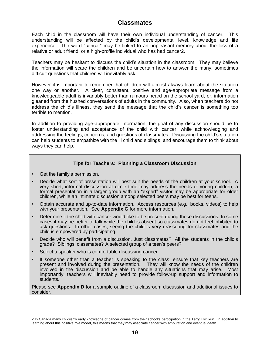### **Classmates**

Each child in the classroom will have their own individual understanding of cancer. This understanding will be affected by the child's developmental level, knowledge and life experience. The word "cancer" may be linked to an unpleasant memory about the loss of a relative or adult friend, or a high-profile individual who has had cancer2.

Teachers may be hesitant to discuss the child's situation in the classroom. They may believe the information will scare the children and be uncertain how to answer the many, sometimes difficult questions that children will inevitably ask.

However it is important to remember that children will almost always learn about the situation one way or another. A clear, consistent, positive and age-appropriate message from a knowledgeable adult is invariably better than rumours heard on the school yard, or, information gleaned from the hushed conversations of adults in the community. Also, when teachers do not address the child's illness, they send the message that the child's cancer is something too terrible to mention.

In addition to providing age-appropriate information, the goal of any discussion should be to foster understanding and acceptance of the child with cancer, while acknowledging and addressing the feelings, concerns, and questions of classmates. Discussing the child's situation can help students to empathize with the ill child and siblings, and encourage them to think about ways they can help.

#### **Tips for Teachers: Planning a Classroom Discussion**

- Get the family's permission.
- Decide what sort of presentation will best suit the needs of the children at your school. A very short, informal discussion at circle time may address the needs of young children; a formal presentation in a larger group with an "expert" visitor may be appropriate for older children, while an intimate discussion among selected peers may be best for teens.
- Obtain accurate and up-to-date information. Access resources (e.g., books, videos) to help with your presentation. See **Appendix G** for more information.
- Determine if the child with cancer would like to be present during these discussions. In some cases it may be better to talk while the child is absent so classmates do not feel inhibited to ask questions. In other cases, seeing the child is very reassuring for classmates and the child is empowered by participating.
- Decide who will benefit from a discussion. Just classmates? All the students in the child's grade? Siblings' classmates? A selected group of a teen's peers?
- Select a speaker who is comfortable discussing cancer.
- If someone other than a teacher is speaking to the class, ensure that key teachers are present and involved during the presentation. They will know the needs of the children involved in the discussion and be able to handle any situations that may arise. Most importantly, teachers will inevitably need to provide follow-up support and information to students.

Please see **Appendix D** for a sample outline of a classroom discussion and additional issues to consider.

<sup>2</sup> In Canada many children's early knowledge of cancer comes from their school's participation in the Terry Fox Run. In addition to learning about this positive role model, this means that they may associate cancer with amputation and eventual death.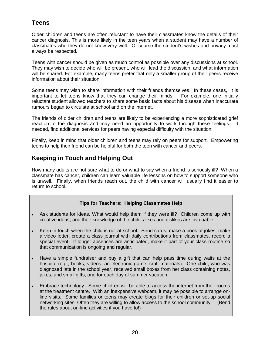### **Teens**

Older children and teens are often reluctant to have their classmates know the details of their cancer diagnosis. This is more likely in the teen years when a student may have a number of classmates who they do not know very well. Of course the student's wishes and privacy must always be respected.

Teens with cancer should be given as much control as possible over any discussions at school. They may wish to decide who will be present, who will lead the discussion, and what information will be shared. For example, many teens prefer that only a smaller group of their peers receive information about their situation.

Some teens may wish to share information with their friends themselves. In these cases, it is important to let teens know that they can change their minds. For example, one initially reluctant student allowed teachers to share some basic facts about his disease when inaccurate rumours began to circulate at school and on the internet.

The friends of older children and teens are likely to be experiencing a more sophisticated grief reaction to the diagnosis and may need an opportunity to work through these feelings. If needed, find additional services for peers having especial difficulty with the situation.

Finally, keep in mind that older children and teens may rely on peers for support. Empowering teens to help their friend can be helpful for both the teen with cancer and peers.

### **Keeping in Touch and Helping Out**

How many adults are not sure what to do or what to say when a friend is seriously ill? When a classmate has cancer, children can learn valuable life lessons on how to support someone who is unwell. Finally, when friends reach out, the child with cancer will usually find it easier to return to school.

#### **Tips for Teachers: Helping Classmates Help**

- Ask students for ideas. What would help them if they were ill? Children come up with creative ideas, and their knowledge of the child's likes and dislikes are invaluable.
- Keep in touch when the child is not at school. Send cards, make a book of jokes, make  $\bullet$ a video letter, create a class journal with daily contributions from classmates, record a special event. If longer absences are anticipated, make it part of your class routine so that communication is ongoing and regular.
- Have a simple fundraiser and buy a gift that can help pass time during waits at the  $\bullet$ hospital (e.g., books, videos, an electronic game, craft materials). One child, who was diagnosed late in the school year, received small boxes from her class containing notes, jokes, and small gifts, one for each day of summer vacation.
- Embrace technology. Some children will be able to access the internet from their rooms at the treatment centre. With an inexpensive webcam, it may be possible to arrange online visits. Some families or teens may create blogs for their children or set-up social networking sites. Often they are willing to allow access to the school community. (Bend the rules about on-line activities if you have to!)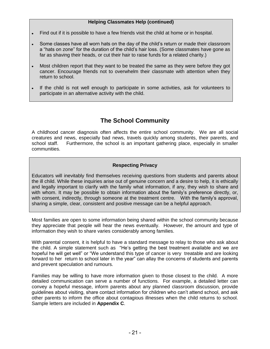#### **Helping Classmates Help (continued)**

- Find out if it is possible to have a few friends visit the child at home or in hospital.
- Some classes have all worn hats on the day of the child's return or made their classroom a "hats on zone" for the duration of the child's hair loss. (Some classmates have gone as far as shaving their heads, or cut their hair to raise funds for a related charity.)
- Most children report that they want to be treated the same as they were before they got cancer. Encourage friends not to overwhelm their classmate with attention when they return to school.
- If the child is not well enough to participate in some activities, ask for volunteers to participate in an alternative activity with the child.

### **The School Community**

A childhood cancer diagnosis often affects the entire school community. We are all social creatures and news, especially bad news, travels quickly among students, their parents, and school staff. Furthermore, the school is an important gathering place, especially in smaller communities.

#### **Respecting Privacy**

Educators will inevitably find themselves receiving questions from students and parents about the ill child. While these inquiries arise out of genuine concern and a desire to help, it is ethically and legally important to clarify with the family what information, if any, they wish to share and with whom. It may be possible to obtain information about the family's preference directly, or, with consent, indirectly, through someone at the treatment centre. With the family's approval, sharing a simple, clear, consistent and positive message can be a helpful approach.

Most families are open to some information being shared within the school community because they appreciate that people will hear the news eventually. However, the amount and type of information they wish to share varies considerably among families.

With parental consent, it is helpful to have a standard message to relay to those who ask about the child. A simple statement such as "He's getting the best treatment available and we are hopeful he will get well" or "We understand this type of cancer is very treatable and are looking forward to her return to school later in the year" can allay the concerns of students and parents and prevent speculation and rumours.

Families may be willing to have more information given to those closest to the child. A more detailed communication can serve a number of functions. For example, a detailed letter can convey a hopeful message, inform parents about any planned classroom discussion, provide guidelines about visiting, share contact information for children who can't attend school, and ask other parents to inform the office about contagious illnesses when the child returns to school. Sample letters are included in **Appendix C**.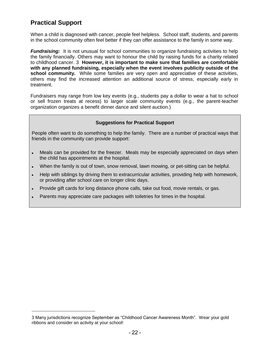### **Practical Support**

When a child is diagnosed with cancer, people feel helpless. School staff, students, and parents in the school community often feel better if they can offer assistance to the family in some way.

*Fundraising:* It is not unusual for school communities to organize fundraising activities to help the family financially. Others may want to honour the child by raising funds for a charity related to childhood cancer. 3 **However, it is important to make sure that families are comfortable with any planned fundraising, especially when the event involves publicity outside of the school community.** While some families are very open and appreciative of these activities, others may find the increased attention an additional source of stress, especially early in treatment.

Fundraisers may range from low key events (e.g., students pay a dollar to wear a hat to school or sell frozen treats at recess) to larger scale community events (e.g., the parent-teacher organization organizes a benefit dinner dance and silent auction.)

#### **Suggestions for Practical Support**

People often want to do something to help the family. There are a number of practical ways that friends in the community can provide support:

- Meals can be provided for the freezer. Meals may be especially appreciated on days when  $\bullet$ the child has appointments at the hospital.
- When the family is out of town, snow removal, lawn mowing, or pet-sitting can be helpful.
- Help with siblings by driving them to extracurricular activities, providing help with homework, or providing after school care on longer clinic days.
- Provide gift cards for long distance phone calls, take out food, movie rentals, or gas.  $\bullet$
- Parents may appreciate care packages with toiletries for times in the hospital.

<sup>3</sup> Many jurisdictions recognize September as "Childhood Cancer Awareness Month". Wear your gold ribbons and consider an activity at your school!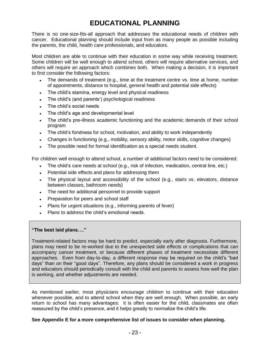### **EDUCATIONAL PLANNING**

There is no one-size-fits-all approach that addresses the educational needs of children with cancer. Educational planning should include input from as many people as possible including the parents, the child, health care professionals, and educators.

Most children are able to continue with their education in some way while receiving treatment. Some children will be well enough to attend school, others will require alternative services, and others will require an approach which combines both. When making a decision, it is important to first consider the following factors:

- The demands of treatment (e.g., time at the treatment centre vs. time at home, number of appointments, distance to hospital, general health and potential side effects)
- The child's stamina, energy level and physical readiness  $\bullet$
- The child's (and parents') psychological readiness
- The child's social needs
- The child's age and developmental level
- The child's pre-illness academic functioning and the academic demands of their school program
- The child's fondness for school, motivation, and ability to work independently  $\bullet$
- Changes in functioning (e.g., mobility, sensory ability, motor skills, cognitive changes)
- The possible need for formal identification as a special needs student.  $\bullet$

For children well enough to attend school, a number of additional factors need to be considered:

- The child's care needs at school (e.g., risk of infection, medication, central line, etc.)  $\bullet$
- Potential side effects and plans for addressing them
- The physical layout and accessibility of the school (e.g., stairs vs. elevators, distance between classes, bathroom needs)
- The need for additional personnel to provide support  $\bullet$
- Preparation for peers and school staff  $\bullet$
- Plans for urgent situations (e.g., informing parents of fever)
- Plans to address the child's emotional needs.

#### **"The best laid plans…."**

Treatment-related factors may be hard to predict, especially early after diagnosis. Furthermore, plans may need to be re-worked due to the unexpected side effects or complications that can accompany cancer treatment, or because different phases of treatment necessitate different approaches. Even from day-to-day, a different response may be required on the child's "bad days" than on their "good days". Therefore, any plans should be considered a work in progress and educators should periodically consult with the child and parents to assess how well the plan is working, and whether adjustments are needed.

As mentioned earlier, most physicians encourage children to continue with their education whenever possible, and to attend school when they are well enough. When possible, an early return to school has many advantages: it is often easier for the child, classmates are often reassured by the child's presence, and it helps greatly to normalize the child's life.

#### **See Appendix E for a more comprehensive list of issues to consider when planning.**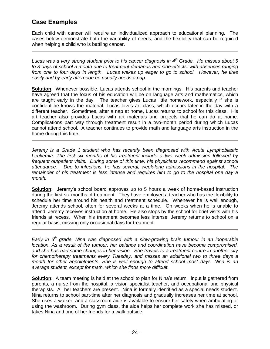### **Case Examples**

Each child with cancer will require an individualized approach to educational planning. The cases below demonstrate both the variability of needs, and the flexibility that can be required when helping a child who is battling cancer.

*Lucas was a very strong student prior to his cancer diagnosis in 4 th Grade. He misses about 5 to 8 days of school a month due to treatment demands and side-effects, with absences ranging from one to four days in length. Lucas wakes up eager to go to school. However, he tires easily and by early afternoon he usually needs a nap.* 

**Solution**: Whenever possible, Lucas attends school in the mornings. His parents and teacher have agreed that the focus of his education will be on language arts and mathematics, which are taught early in the day. The teacher gives Lucas little homework, especially if she is confident he knows the material. Lucas loves art class, which occurs later in the day with a different teacher. Sometimes, after a nap at home, Lucas returns to school for this class. His art teacher also provides Lucas with art materials and projects that he can do at home. Complications part way through treatment result in a two-month period during which Lucas cannot attend school. A teacher continues to provide math and language arts instruction in the home during this time.

*Jeremy is a Grade 1 student who has recently been diagnosed with Acute Lymphoblastic Leukemia. The first six months of his treatment include a two week admission followed by frequent outpatient visits. During some of this time, his physicians recommend against school attendance. Due to infections, he has several, week-long admissions in the hospital. The remainder of his treatment is less intense and requires him to go to the hospital one day a month.*

**Solution:** Jeremy's school board approves up to 5 hours a week of home-based instruction during the first six months of treatment. They have employed a teacher who has the flexibility to schedule her time around his health and treatment schedule. Whenever he is well enough, Jeremy attends school, often for several weeks at a time. On weeks when he is unable to attend, Jeremy receives instruction at home. He also stops by the school for brief visits with his friends at recess. When his treatment becomes less intense, Jeremy returns to school on a regular basis, missing only occasional days for treatment.

*Early in 6th grade, Nina was diagnosed with a slow-growing brain tumour in an inoperable location. As a result of the tumour, her balance and coordination have become compromised, and she has had some changes in her vision. She travels to a treatment centre in another city for chemotherapy treatments every Tuesday, and misses an additional two to three days a month for other appointments. She is well enough to attend school most days. Nina is an average student, except for math, which she finds more difficult.*

**Solution:** A team meeting is held at the school to plan for Nina's return. Input is gathered from parents, a nurse from the hospital, a vision specialist teacher, and occupational and physical therapists. All her teachers are present. Nina is formally identified as a special needs student. Nina returns to school part-time after her diagnosis and gradually increases her time at school. She uses a walker, and a classroom aide is available to ensure her safety when ambulating or using the washroom. During gym class, the aide helps her complete work she has missed, or takes Nina and one of her friends for a walk outside.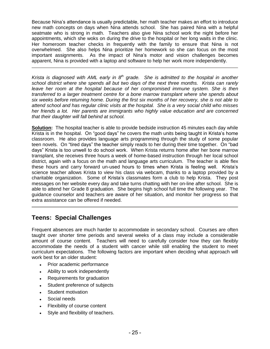Because Nina's attendance is usually predictable, her math teacher makes an effort to introduce new math concepts on days when Nina attends school. She has paired Nina with a helpful seatmate who is strong in math. Teachers also give Nina school work the night before her appointments, which she woks on during the drive to the hospital or her long waits in the clinic. Her homeroom teacher checks in frequently with the family to ensure that Nina is not overwhelmed. She also helps Nina prioritize her homework so she can focus on the most important assignments. As the impact of Nina's motor and vision challenges becomes apparent, Nina is provided with a laptop and software to help her work more independently.

Krista is diagnosed with AML early in 8<sup>th</sup> grade. She is admitted to the hospital in another *school district where she spends all but two days of the next three months. Krista can rarely leave her room at the hospital because of her compromised immune system. She is then transferred to a larger treatment centre for a bone marrow transplant where she spends about six weeks before returning home. During the first six months of her recovery, she is not able to attend school and has regular clinic visits at the hospital. She is a very social child who misses her friends a lot. Her parents are immigrants who highly value education and are concerned that their daughter will fall behind at school.* 

**Solution:** The hospital teacher is able to provide bedside instruction 45 minutes each day while Krista is in the hospital. On "good days" he covers the math units being taught in Krista's home classroom. He also provides language arts programming through the study of some popular teen novels. On "tired days" the teacher simply reads to her during their time together. On "bad days" Krista is too unwell to do school work. When Krista returns home after her bone marrow transplant, she receives three hours a week of home-based instruction through her local school district, again with a focus on the math and language arts curriculum. The teacher is able flex these hours and carry forward un-used hours to times when Krista is feeling well. Krista's science teacher allows Krista to view his class via webcam, thanks to a laptop provided by a charitable organization. Some of Krista's classmates form a club to help Krista. They post messages on her website every day and take turns chatting with her on-line after school. She is able to attend her Grade 8 graduation. She begins high school full time the following year. The guidance counselor and teachers are aware of her situation, and monitor her progress so that extra assistance can be offered if needed.

### **Teens: Special Challenges**

Frequent absences are much harder to accommodate in secondary school. Courses are often taught over shorter time periods and several weeks of a class may include a considerable amount of course content. Teachers will need to carefully consider how they can flexibly accommodate the needs of a student with cancer while still enabling the student to meet curriculum expectations. The following factors are important when deciding what approach will work best for an older student:

- Prior academic performance  $\bullet$
- Ability to work independently
- Requirements for graduation
- Student preference of subjects  $\bullet$
- Student motivation
- Social needs
- Flexibility of course content
- Style and flexibility of teachers.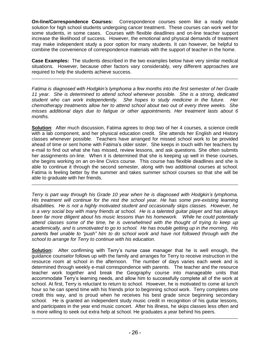**On-line/Correspondence Courses:** Correspondence courses seem like a ready made solution for high school students undergoing cancer treatment. These courses can work well for some students, in some cases. Courses with flexible deadlines and on-line teacher support increase the likelihood of success. However, the emotional and physical demands of treatment may make independent study a poor option for many students. It can however, be helpful to combine the convenience of correspondence materials with the support of teacher in the home.

**Case Examples:** The students described in the two examples below have very similar medical situations. However, because other factors vary considerably, very different approaches are required to help the students achieve success.

*Fatima is diagnosed with Hodgkin"s lymphoma a few months into the first semester of her Grade 11 year. She is determined to attend school whenever possible. She is a strong, dedicated student who can work independently. She hopes to study medicine in the future. Her chemotherapy treatments allow her to attend school about two out of every three weeks. She misses additional days due to fatigue or other appointments. Her treatment lasts about 6 months.* 

**Solution**: After much discussion, Fatima agrees to drop two of her 4 courses, a science credit with a lab component, and her physical education credit. She attends her English and History classes whenever possible. Teachers have arranged for missed school work to be provided ahead of time or sent home with Fatima's older sister. She keeps in touch with her teachers by e-mail to find out what she has missed, review lessons, and ask questions. She often submits her assignments on-line. When it is determined that she is keeping up well in these courses, she begins working on an on-line Civics course. This course has flexible deadlines and she is able to continue it through the second semester, along with two additional courses at school. Fatima is feeling better by the summer and takes summer school courses so that she will be able to graduate with her friends.

*Terry is part way through his Grade 10 year when he is diagnosed with Hodgkin"s lymphoma.*  His treatment will continue for the rest the school year. He has some pre-existing learning *disabilities. He is not a highly motivated student and occasionally skips classes. However, he is a very social boy with many friends at school. He is a talented guitar player and has always been far more diligent about his music lessons than his homework. While he could potentially attend classes some of the time, he is overwhelmed with the thought of trying to keep up academically, and is unmotivated to go to school. He has trouble getting up in the morning. His parents feel unable to "push" him to do school work and have not followed through with the school to arrange for Terry to continue with his education.* 

**Solution:** After confirming with Terry's nurse case manager that he is well enough, the guidance counselor follows up with the family and arranges for Terry to receive instruction in the resource room at school in the afternoon. The number of days varies each week and is determined through weekly e-mail correspondence with parents. The teacher and the resource teacher work together and break the Geography course into manageable units that accommodate Terry's learning needs, and allow him to successfully complete all of the work at school. At first, Terry is reluctant to return to school. However, he is motivated to come at lunch hour so he can spend time with his friends prior to beginning school work. Terry completes one credit this way, and is proud when he receives his best grade since beginning secondary school. He is granted an independent study music credit in recognition of his guitar lessons, and participates in the year end music concert. After his illness, he skips classes less often and is more willing to seek out extra help at school. He graduates a year behind his peers.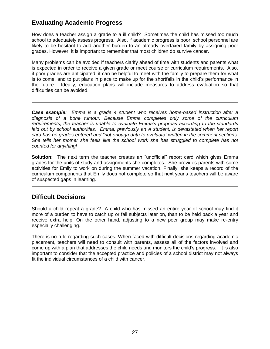### **Evaluating Academic Progress**

How does a teacher assign a grade to a ill child? Sometimes the child has missed too much school to adequately assess progress. Also, if academic progress is poor, school personnel are likely to be hesitant to add another burden to an already overtaxed family by assigning poor grades. However, it is important to remember that most children do survive cancer.

Many problems can be avoided if teachers clarify ahead of time with students and parents what is expected in order to receive a given grade or meet course or curriculum requirements. Also, if poor grades are anticipated, it can be helpful to meet with the family to prepare them for what is to come, and to put plans in place to make up for the shortfalls in the child's performance in the future. Ideally, education plans will include measures to address evaluation so that difficulties can be avoided.

*Case example: Emma is a grade 4 student who receives home-based instruction after a diagnosis of a bone tumour. Because Emma completes only some of the curriculum requirements, the teacher is unable to evaluate Emma"s progress according to the standards laid out by school authorities. Emma, previously an A student, is devastated when her report card has no grades entered and "not enough data to evaluate" written in the comment sections. She tells her mother she feels like the school work she has struggled to complete has not counted for anything!* 

**Solution:** The next term the teacher creates an "unofficial" report card which gives Emma grades for the units of study and assignments she completes. She provides parents with some activities for Emily to work on during the summer vacation. Finally, she keeps a record of the curriculum components that Emily does not complete so that next year's teachers will be aware of suspected gaps in learning.

### **Difficult Decisions**

Should a child repeat a grade? A child who has missed an entire year of school may find it more of a burden to have to catch up or fail subjects later on, than to be held back a year and receive extra help. On the other hand, adjusting to a new peer group may make re-entry especially challenging.

There is no rule regarding such cases. When faced with difficult decisions regarding academic placement, teachers will need to consult with parents, assess all of the factors involved and come up with a plan that addresses the child needs and monitors the child's progress. It is also important to consider that the accepted practice and policies of a school district may not always fit the individual circumstances of a child with cancer.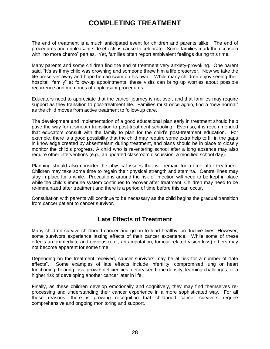### **COMPLETING TREATMENT**

The end of treatment is a much anticipated event for children and parents alike. The end of procedures and unpleasant side effects is cause to celebrate. Some families mark the occasion with "no more chemo" parties. Yet, families often report ambivalent feelings during this time.

Many parents and some children find the end of treatment very anxiety-provoking. One parent said, "It's as if my child was drowning and someone threw him a life preserver. Now we take the life preserver away and hope he can swim on his own." While many children enjoy seeing their hospital "family" at follow-up appointments, these visits can bring up worries about possible recurrence and memories of unpleasant procedures**.** 

Educators need to appreciate that the cancer journey is not over, and that families may require support as they transition to post-treatment life. Families must once again, find a "new normal" as the child moves from active treatment to follow-up care.

The development and implementation of a good educational plan early in treatment should help pave the way for a smooth transition to post-treatment schooling. Even so, it is recommended that educators consult with the family to plan for the child's post-treatment education. For example, there is a good possibility that the child may require some extra help to fill in the gaps in knowledge created by absenteeism during treatment, and plans should be in place to closely monitor the child's progress. A child who is re-entering school after a long absence may also require other interventions (e.g., an updated classroom discussion, a modified school day).

Planning should also consider the physical issues that will remain for a time after treatment. Children may take some time to regain their physical strength and stamina. Central lines may stay in place for a while. Precautions around the risk of infection will need to be kept in place while the child's immune system continues to recover after treatment. Children may need to be re-immunized after treatment and there is a period of time before this can occur.

Consultation with parents will continue to be necessary as the child begins the gradual transition from cancer patient to cancer survivor.

### **Late Effects of Treatment**

Many children survive childhood cancer and go on to lead healthy, productive lives. However, some survivors experience lasting effects of their cancer experience. While some of these effects are immediate and obvious (e.g., an amputation, tumour-related vision loss) others may not become apparent for some time.

Depending on the treatment received, cancer survivors may be at risk for a number of "late effects". Some examples of late effects include infertility, compromised lung or heart functioning, hearing loss, growth deficiencies, decreased bone density, learning challenges, or a higher risk of developing another cancer later in life.

Finally, as these children develop emotionally and cognitively, they may find themselves reprocessing and understanding their cancer experience in a more sophisticated way. For all these reasons, there is growing recognition that childhood cancer survivors require comprehensive and ongoing monitoring and support.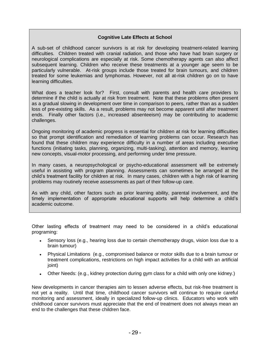#### **Cognitive Late Effects at School**

A sub-set of childhood cancer survivors is at risk for developing treatment-related learning difficulties. Children treated with cranial radiation, and those who have had brain surgery or neurological complications are especially at risk. Some chemotherapy agents can also affect subsequent learning. Children who receive these treatments at a younger age seem to be particularly vulnerable. At-risk groups include those treated for brain tumours, and children treated for some leukemias and lymphomas. However, not all at-risk children go on to have learning difficulties.

What does a teacher look for? First, consult with parents and health care providers to determine if the child is actually at risk from treatment. Note that these problems often present as a gradual slowing in development over time in comparison to peers, rather than as a sudden loss of pre-existing skills. As a result, problems may not become apparent until after treatment ends. Finally other factors (i.e., increased absenteeism) may be contributing to academic challenges.

Ongoing monitoring of academic progress is essential for children at risk for learning difficulties so that prompt identification and remediation of learning problems can occur. Research has found that these children may experience difficulty in a number of areas including executive functions (initiating tasks, planning, organizing, multi-tasking), attention and memory, learning new concepts, visual-motor processing, and performing under time pressure.

In many cases, a neuropsychological or psycho-educational assessment will be extremely useful in assisting with program planning. Assessments can sometimes be arranged at the child's treatment facility for children at risk. In many cases, children with a high risk of learning problems may routinely receive assessments as part of their follow-up care.

As with any child, other factors such as prior learning ability, parental involvement, and the timely implementation of appropriate educational supports will help determine a child's academic outcome.

Other lasting effects of treatment may need to be considered in a child's educational programing:

- Sensory loss (e.g., hearing loss due to certain chemotherapy drugs, vision loss due to a brain tumour)
- Physical Limitations (e.g., compromised balance or motor skills due to a brain tumour or treatment complications, restrictions on high impact activities for a child with an artificial joint)
- Other Needs: (e.g., kidney protection during gym class for a child with only one kidney.)

New developments in cancer therapies aim to lessen adverse effects, but risk-free treatment is not yet a reality. Until that time, childhood cancer survivors will continue to require careful monitoring and assessment, ideally in specialized follow-up clinics. Educators who work with childhood cancer survivors must appreciate that the end of treatment does not always mean an end to the challenges that these children face.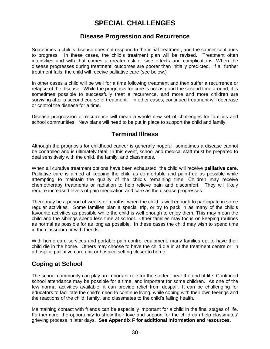### **SPECIAL CHALLENGES**

### **Disease Progression and Recurrence**

Sometimes a child's disease does not respond to the initial treatment, and the cancer continues to progress. In these cases, the child's treatment plan will be revised. Treatment often intensifies and with that comes a greater risk of side effects and complications. When the disease progresses during treatment, outcomes are poorer than initially predicted. If all further treatment fails, the child will receive palliative care (see below.)

In other cases a child will be well for a time following treatment and then suffer a recurrence or relapse of the disease. While the prognosis for cure is not as good the second time around, it is sometimes possible to successfully treat a recurrence, and more and more children are surviving after a second course of treatment. In other cases, continued treatment will decrease or control the disease for a time.

Disease progression or recurrence will mean a whole new set of challenges for families and school communities. New plans will need to be put in place to support the child and family.

### **Terminal Illness**

Although the prognosis for childhood cancer is generally hopeful, sometimes a disease cannot be controlled and is ultimately fatal. In this event, school and medical staff must be prepared to deal sensitively with the child, the family, and classmates.

When all curative treatment options have been exhausted, the child will receive **palliative care**. Palliative care is aimed at keeping the child as comfortable and pain-free as possible while attempting to maintain the quality of the child's remaining time. Children may receive chemotherapy treatments or radiation to help relieve pain and discomfort. They will likely require increased levels of pain medication and care as the disease progresses.

There may be a period of weeks or months, when the child is well enough to participate in some regular activities. Some families plan a special trip, or try to pack in as many of the child's favourite activities as possible while the child is well enough to enjoy them. This may mean the child and the siblings spend less time at school. Other families may focus on keeping routines as normal as possible for as long as possible. In these cases the child may wish to spend time in the classroom or with friends.

With home care services and portable pain control equipment, many families opt to have their child die in the home. Others may choose to have the child die in at the treatment centre or in a hospital palliative care unit or hospice setting closer to home.

### **Coping at School**

The school community can play an important role for the student near the end of life. Continued school attendance may be possible for a time, and important for some children. As one of the few normal activities available, it can provide relief from despair. It can be challenging for educators to facilitate the child's need to continue living, while coping with their own feelings and the reactions of the child, family, and classmates to the child's failing health.

Maintaining contact with friends can be especially important for a child in the final stages of life. Furthermore, the opportunity to show their love and support for the child can help classmates' grieving process in later days. **See Appendix F for additional information and resources**.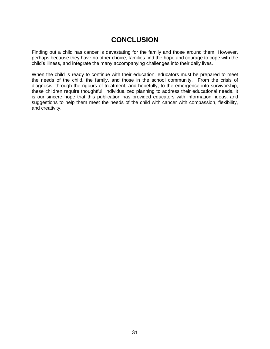### **CONCLUSION**

Finding out a child has cancer is devastating for the family and those around them. However, perhaps because they have no other choice, families find the hope and courage to cope with the child's illness, and integrate the many accompanying challenges into their daily lives.

When the child is ready to continue with their education, educators must be prepared to meet the needs of the child, the family, and those in the school community.From the crisis of diagnosis, through the rigours of treatment, and hopefully, to the emergence into survivorship, these children require thoughtful, individualized planning to address their educational needs. It is our sincere hope that this publication has provided educators with information, ideas, and suggestions to help them meet the needs of the child with cancer with compassion, flexibility, and creativity.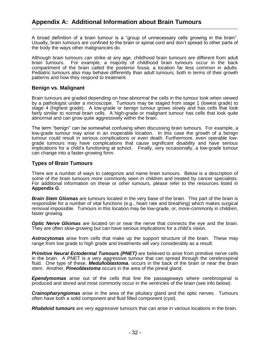A broad definition of a brain tumour is a "group of unnecessary cells growing in the brain". Usually, brain tumours are confined to the brain or spinal cord and don't spread to other parts of the body the ways other malignancies do.

Although brain tumours can strike at any age, childhood brain tumours are different from adult brain tumours. For example, a majority of childhood brain tumours occur in the back compartment of the brain called the posterior fossa, a location far less common in adults. Pediatric tumours also may behave differently than adult tumours, both in terms of their growth patterns and how they respond to treatment.

#### **Benign vs. Malignant**

Brain tumours are graded depending on how abnormal the cells in the tumour look when viewed by a pathologist under a microscope. Tumours may be staged from stage 1 (lowest grade) to stage 4 (highest grade). A low-grade or benign tumour grows slowly and has cells that look fairly similar to normal brain cells. A high-grade or malignant tumour has cells that look quite abnormal and can grow quite aggressively within the brain.

The term "benign" can be somewhat confusing when discussing brain tumours. For example, a low-grade tumour may arise in an inoperable location. In this case the growth of a benign tumour could result in serious complications or even death. Furthermore, even operable lowgrade tumours may have complications that cause significant disability and have serious implications for a child's functioning at school. Finally, very occasionally, a low-grade tumour can change into a faster-growing form.

#### **Types of Brain Tumours**

There are a number of ways to categorize and name brain tumours. Below is a description of some of the brain tumours more commonly seen in children and treated by cancer specialists. For additional information on these or other tumours, please refer to the resources listed in **Appendix G**.

*Brain Stem Gliomas* are tumours located in the very base of the brain. This part of the brain is responsible for a number of vital functions (e.g., heart rate and breathing) which makes surgical removal impossible. Tumours in this location may be low-grade, or, more-commonly in children, faster growing.

*Optic Nerve Gliomas* are located on or near the nerve that connects the eye and the brain. They are often slow-growing but can have serious implications for a child's vision.

*Astrocytomas* arise from cells that make up the support structure of the brain. These may range from low grade to high grade and treatments will vary considerably as a result.

**Primitive Neural Ectodermal Tumours (PNET)** are believed to arise from primitive nerve cells in the brain. A PNET is a very aggressive tumour that can spread through the cerebrospinal fluid. One type of these, *Medulloblastoma*, occurs in the back of the brain or near the brain stem. Another, *Pineoblastoma* occurs in the area of the pineal gland.

*Ependymomas* arise out of the cells that line the passageways where cerebrospinal is produced and stored and most commonly occur in the ventricles of the brain (see info below).

*Crainopharyngiomas* arise in the area of the pituitary gland and the optic nerves. Tumours often have both a solid component and fluid filled component (cyst).

*Rhabdoid tumours* are very aggressive tumours that can arise in various locations in the brain.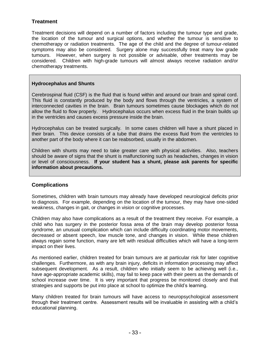### **Treatment**

Treatment decisions will depend on a number of factors including the tumour type and grade, the location of the tumour and surgical options, and whether the tumour is sensitive to chemotherapy or radiation treatments. The age of the child and the degree of tumour-related symptoms may also be considered. Surgery alone may successfully treat many low grade tumours. However, when surgery is not possible or advisable, other treatments may be considered. Children with high-grade tumours will almost always receive radiation and/or chemotherapy treatments.

#### **Hydrocephalus and Shunts**

Cerebrospinal fluid (CSF) is the fluid that is found within and around our brain and spinal cord. This fluid is constantly produced by the body and flows through the ventricles, a system of interconnected cavities in the brain. Brain tumours sometimes cause blockages which do not allow the fluid to flow properly. Hydrocephalus occurs when excess fluid in the brain builds up in the ventricles and causes excess pressure inside the brain.

Hydrocephalus can be treated surgically. In some cases children will have a shunt placed in their brain. This device consists of a tube that drains the excess fluid from the ventricles to another part of the body where it can be reabsorbed, usually in the abdomen.

Children with shunts may need to take greater care with physical activities. Also, teachers should be aware of signs that the shunt is malfunctioning such as headaches, changes in vision or level of consciousness. **If your student has a shunt, please ask parents for specific information about precautions.** 

#### **Complications**

Sometimes, children with brain tumours may already have developed neurological deficits prior to diagnosis. For example, depending on the location of the tumour, they may have one-sided weakness, changes in gait, or changes in vision or cognitive processes.

Children may also have complications as a result of the treatment they receive. For example, a child who has surgery in the posterior fossa area of the brain may develop posterior fossa syndrome, an unusual complication which can include difficulty coordinating motor movements, decreased or absent speech, low muscle tone, and changes in vision. While these children always regain some function, many are left with residual difficulties which will have a long-term impact on their lives.

As mentioned earlier, children treated for brain tumours are at particular risk for later cognitive challenges. Furthermore, as with any brain injury, deficits in information processing may affect subsequent development. As a result, children who initially seem to be achieving well (i.e., have age-appropriate academic skills), may fail to keep pace with their peers as the demands of school increase over time. It is very important that progress be monitored closely and that strategies and supports be put into place at school to optimize the child's learning.

Many children treated for brain tumours will have access to neuropsychological assessment through their treatment centre. Assessment results will be invaluable in assisting with a child's educational planning.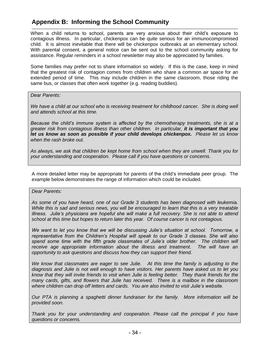### **Appendix B: Informing the School Community**

When a child returns to school, parents are very anxious about their child's exposure to contagious illness. In particular, chickenpox can be quite serious for an immunocompromised child. It is almost inevitable that there will be chickenpox outbreaks at an elementary school. With parental consent, a general notice can be sent out to the school community asking for assistance. Regular reminders in a school newsletter may also be appreciated by families.

Some families may prefer not to share information so widely. If this is the case, keep in mind that the greatest risk of contagion comes from children who share a common air space for an extended period of time. This may include children in the same classroom, those riding the same bus, or classes that often work together (e.g. reading buddies).

#### *Dear Parents:*

We have a child at our school who is receiving treatment for childhood cancer. She is doing well *and attends school at this time.* 

*Because the child"s immune system is affected by the chemotherapy treatments, she is at a greater risk from contagious illness than other children. In particular, it is important that you let us know as soon as possible if your child develops chickenpox. Please let us know when the rash broke out.*

*As always, we ask that children be kept home from school when they are unwell. Thank you for your understanding and cooperation. Please call if you have questions or concerns.*

A more detailed letter may be appropriate for parents of the child's immediate peer group. The example below demonstrates the range of information which could be included.

#### *Dear Parents:*

*As some of you have heard, one of our Grade 3 students has been diagnosed with leukemia. While this is sad and serious news, you will be encouraged to learn that this is a very treatable illness. Julie"s physicians are hopeful she will make a full recovery. She is not able to attend school at this time but hopes to return later this year. Of course cancer is not contagious.*

*We want to let you know that we will be discussing Julie"s situation at school. Tomorrow, a representative from the Children"s Hospital will speak to our Grade 3 classes. She will also*  spend some time with the fifth grade classmates of Julie's older brother. The children will *receive age appropriate information about the illness and treatment. The will have an opportunity to ask questions and discuss how they can support their friend.*

*We know that classmates are eager to see Julie. At this time the family is adjusting to the diagnosis and Julie is not well enough to have visitors. Her parents have asked us to let you know that they will invite friends to visit when Julie is feeling better. They thank friends for the many cards, gifts, and flowers that Julie has received. There is a mailbox in the classroom where children can drop off letters and cards. You are also invited to visit Julie"s website.*

*Our PTA is planning a spaghetti dinner fundraiser for the family. More information will be provided soon.*

*Thank you for your understanding and cooperation. Please call the principal if you have questions or concerns.*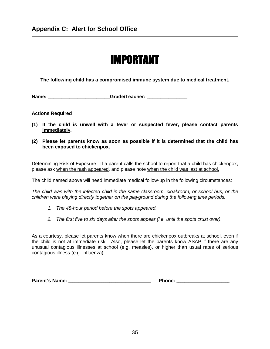# IMPORTANT

**The following child has a compromised immune system due to medical treatment.**

**Name: and a controlled a controlled Grade/Teacher:** *A* 

#### **Actions Required**

- **(1) If the child is unwell with a fever or suspected fever, please contact parents immediately.**
- **(2) Please let parents know as soon as possible if it is determined that the child has been exposed to chickenpox.**

Determining Risk of Exposure: If a parent calls the school to report that a child has chickenpox, please ask when the rash appeared, and please note when the child was last at school.

The child named above will need immediate medical follow-up in the following circumstances:

*The child was with the infected child in the same classroom, cloakroom, or school bus, or the children were playing directly together on the playground during the following time periods:*

- *1. The 48-hour period before the spots appeared.*
- *2. The first five to six days after the spots appear (i.e. until the spots crust over).*

As a courtesy, please let parents know when there are chickenpox outbreaks at school, even if the child is not at immediate risk. Also, please let the parents know ASAP if there are any unusual contagious illnesses at school (e.g. measles), or higher than usual rates of serious contagious illness (e.g. influenza).

| <b>Parent's Name:</b> | <b>Phone:</b> |
|-----------------------|---------------|
|-----------------------|---------------|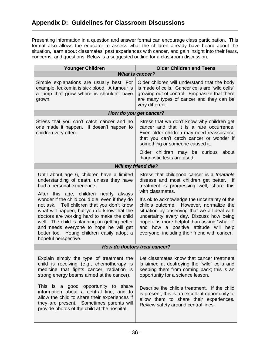Presenting information in a question and answer format can encourage class participation. This format also allows the educator to assess what the children already have heard about the situation, learn about classmates' past experiences with cancer, and gain insight into their fears, concerns, and questions. Below is a suggested outline for a classroom discussion.

| <b>Younger Children</b>                                                                                                                                                                                                                                                                                                                                                                                                                                                                                                    | <b>Older Children and Teens</b>                                                                                                                                                                                                                                                                                                                                                                                                                                                                    |  |  |  |
|----------------------------------------------------------------------------------------------------------------------------------------------------------------------------------------------------------------------------------------------------------------------------------------------------------------------------------------------------------------------------------------------------------------------------------------------------------------------------------------------------------------------------|----------------------------------------------------------------------------------------------------------------------------------------------------------------------------------------------------------------------------------------------------------------------------------------------------------------------------------------------------------------------------------------------------------------------------------------------------------------------------------------------------|--|--|--|
| <b>What is cancer?</b>                                                                                                                                                                                                                                                                                                                                                                                                                                                                                                     |                                                                                                                                                                                                                                                                                                                                                                                                                                                                                                    |  |  |  |
| Simple explanations are usually best. For<br>example, leukemia is sick blood. A tumour is<br>a lump that grew where is shouldn't have<br>grown.                                                                                                                                                                                                                                                                                                                                                                            | Older children will understand that the body<br>is made of cells. Cancer cells are "wild cells"<br>growing out of control. Emphasize that there<br>are many types of cancer and they can be<br>very different.                                                                                                                                                                                                                                                                                     |  |  |  |
| How do you get cancer?                                                                                                                                                                                                                                                                                                                                                                                                                                                                                                     |                                                                                                                                                                                                                                                                                                                                                                                                                                                                                                    |  |  |  |
| Stress that you can't catch cancer and no<br>one made it happen. It doesn't happen to<br>children very often.                                                                                                                                                                                                                                                                                                                                                                                                              | Stress that we don't know why children get<br>cancer and that it is a rare occurrence.<br>Even older children may need reassurance<br>that you can't catch cancer or wonder if<br>something or someone caused it.                                                                                                                                                                                                                                                                                  |  |  |  |
|                                                                                                                                                                                                                                                                                                                                                                                                                                                                                                                            | Older children may be curious<br>about<br>diagnostic tests are used.                                                                                                                                                                                                                                                                                                                                                                                                                               |  |  |  |
| <b>Will my friend die?</b>                                                                                                                                                                                                                                                                                                                                                                                                                                                                                                 |                                                                                                                                                                                                                                                                                                                                                                                                                                                                                                    |  |  |  |
| Until about age 6, children have a limited<br>understanding of death, unless they have<br>had a personal experience.<br>After this age, children nearly always<br>wonder if the child could die, even if they do<br>not ask. Tell children that you don't know<br>what will happen, but you do know that the<br>doctors are working hard to make the child<br>well. The child is planning on getting better<br>and needs everyone to hope he will get<br>better too. Young children easily adopt a<br>hopeful perspective. | Stress that childhood cancer is a <i>treatable</i><br>disease and most children get better. If<br>treatment is progressing well, share this<br>with classmates.<br>It's ok to acknowledge the uncertainty of the<br>child's outcome. However, normalize the<br>situation by observing that we all deal with<br>uncertainty every day. Discuss how being<br>hopeful is more helpful than asking "what if"<br>and how a positive attitude will help<br>everyone, including their friend with cancer. |  |  |  |
|                                                                                                                                                                                                                                                                                                                                                                                                                                                                                                                            | How do doctors treat cancer?                                                                                                                                                                                                                                                                                                                                                                                                                                                                       |  |  |  |
| Explain simply the type of treatment the<br>child is receiving (e.g., chemotherapy is<br>medicine that fights cancer, radiation is<br>strong energy beams aimed at the cancer).<br>This is a good opportunity to share<br>information about a central line, and to<br>allow the child to share their experiences if<br>they are present. Sometimes parents will<br>provide photos of the child at the hospital.                                                                                                            | Let classmates know that cancer treatment<br>is aimed at destroying the "wild" cells and<br>keeping them from coming back; this is an<br>opportunity for a science lesson.<br>Describe the child's treatment. If the child<br>is present, this is an excellent opportunity to<br>allow them to share their experiences.<br>Review safety around central lines.                                                                                                                                     |  |  |  |
|                                                                                                                                                                                                                                                                                                                                                                                                                                                                                                                            |                                                                                                                                                                                                                                                                                                                                                                                                                                                                                                    |  |  |  |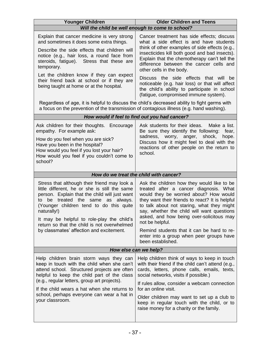| <b>Younger Children</b>                                                                                                                                                                                                                                                                                                                    | <b>Older Children and Teens</b>                                                                                                                                                                                                                                                                                                              |  |  |  |  |
|--------------------------------------------------------------------------------------------------------------------------------------------------------------------------------------------------------------------------------------------------------------------------------------------------------------------------------------------|----------------------------------------------------------------------------------------------------------------------------------------------------------------------------------------------------------------------------------------------------------------------------------------------------------------------------------------------|--|--|--|--|
| Will the child be well enough to come to school?                                                                                                                                                                                                                                                                                           |                                                                                                                                                                                                                                                                                                                                              |  |  |  |  |
| Explain that cancer medicine is very strong<br>and sometimes it does some extra things.<br>Describe the side effects that children will<br>notice (e.g., hair loss, a round face from<br>steroids, fatigue). Stress that these are<br>temporary.                                                                                           | Cancer treatment has side effects; discuss<br>what a side effect is and have students<br>think of other examples of side effects (e.g.,<br>insecticides kill both good and bad insects).<br>Explain that the chemotherapy can't tell the<br>difference between the cancer cells and<br>other cells in the body.                              |  |  |  |  |
| Let the children know if they can expect<br>their friend back at school or if they are<br>being taught at home or at the hospital.                                                                                                                                                                                                         | Discuss the side effects that will<br>be<br>noticeable (e.g. hair loss) or that will affect<br>the child's ability to participate in school<br>(fatigue, compromised immune system).                                                                                                                                                         |  |  |  |  |
| Regardless of age, it is helpful to discuss the child's decreased ability to fight germs with<br>a focus on the prevention of the transmission of contagious illness (e.g. hand washing).                                                                                                                                                  |                                                                                                                                                                                                                                                                                                                                              |  |  |  |  |
|                                                                                                                                                                                                                                                                                                                                            | How would if feel to find out you had cancer?                                                                                                                                                                                                                                                                                                |  |  |  |  |
| Ask children for their thoughts. Encourage<br>empathy. For example ask:<br>How do you feel when you are sick?<br>Have you been in the hospital?<br>How would you feel if you lost your hair?<br>How would you feel if you couldn't come to<br>school?                                                                                      | Ask students for their ideas.<br>Make a list.<br>Be sure they identify the following:<br>fear,<br>sadness,<br>worry, anger, shock,<br>hope.<br>Discuss how it might feel to deal with the<br>reactions of other people on the return to<br>school.                                                                                           |  |  |  |  |
| How do we treat the child with cancer?                                                                                                                                                                                                                                                                                                     |                                                                                                                                                                                                                                                                                                                                              |  |  |  |  |
| Stress that although their friend may look a<br>little different, he or she is still the same<br>person. Explain that the child will just want<br>to be treated the same as always.<br>(Younger children tend to do this quite<br>naturally!)<br>It may be helpful to role-play the child's<br>return so that the child is not overwhelmed | Ask the children how they would like to be<br>treated after a cancer diagnosis. What<br>would they be worried about? How would<br>they want their friends to react? It is helpful<br>to talk about not staring, what they might<br>say, whether the child will want questions<br>asked, and how being over-solicitous may<br>not be helpful. |  |  |  |  |
| by classmates' affection and excitement.                                                                                                                                                                                                                                                                                                   | Remind students that it can be hard to re-<br>enter into a group when peer groups have                                                                                                                                                                                                                                                       |  |  |  |  |
|                                                                                                                                                                                                                                                                                                                                            | been established.                                                                                                                                                                                                                                                                                                                            |  |  |  |  |
|                                                                                                                                                                                                                                                                                                                                            | How else can we help?                                                                                                                                                                                                                                                                                                                        |  |  |  |  |
| Help children brain storm ways they can                                                                                                                                                                                                                                                                                                    |                                                                                                                                                                                                                                                                                                                                              |  |  |  |  |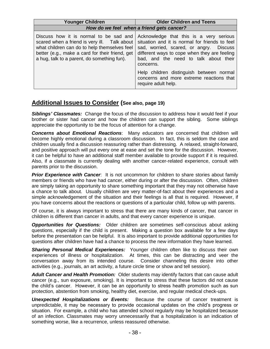| <b>Younger Children</b>                                                                                                                                                                                                                  | <b>Older Children and Teens</b>                                                                                                                                                                                                                                                                                                                           |  |
|------------------------------------------------------------------------------------------------------------------------------------------------------------------------------------------------------------------------------------------|-----------------------------------------------------------------------------------------------------------------------------------------------------------------------------------------------------------------------------------------------------------------------------------------------------------------------------------------------------------|--|
| How do we feel when a friend gets cancer?                                                                                                                                                                                                |                                                                                                                                                                                                                                                                                                                                                           |  |
| Discuss how it is normal to be sad and<br>scared when a friend is very ill. Talk about<br>what children can do to help themselves feel<br>better (e.g., make a card for their friend, get<br>a hug, talk to a parent, do something fun). | Acknowledge that this is a very serious<br>situation and it is normal for friends to feel<br>sad, worried, scared, or angry. Discuss<br>different ways to cope when they are feeling<br>bad, and the need to talk about their<br>concerns.<br>Help children distinguish between normal<br>concerns and more extreme reactions that<br>require adult help. |  |

### **Additional Issues to Consider (See also, page 19)**

*Siblings' Classmates:* Change the focus of the discussion to address how it would feel if your brother or sister had cancer and how the children can support the sibling. Some siblings appreciate the opportunity to be the focus of attention for a change.

*Concerns about Emotional Reactions*: Many educators are concerned that children will become highly emotional during a classroom discussion. In fact, this is seldom the case and children usually find a discussion reassuring rather than distressing. A relaxed, straight-forward, and positive approach will put every one at ease and set the tone for the discussion. However, it can be helpful to have an additional staff member available to provide support if it is required. Also, if a classmate is currently dealing with another cancer-related experience, consult with parents prior to the discussion.

**Prior Experience with Cancer**: It is not uncommon for children to share stories about family members or friends who have had cancer, either during or after the discussion. Often, children are simply taking an opportunity to share something important that they may not otherwise have a chance to talk about. Usually children are very matter-of-fact about their experiences and a simple acknowledgement of the situation and their feelings is all that is required. However, if you have concerns about the reactions or questions of a particular child, follow up with parents.

Of course, it is always important to stress that there are many kinds of cancer, that cancer in children is different than cancer in adults, and that every cancer experience is unique.

*Opportunities for Questions:* Older children are sometimes self-conscious about asking duestions, especially if the child is present. Making a question box available for a few days before the presentation can be helpful. It is also important to provide additional opportunities for questions after children have had a chance to process the new information they have learned.

*Sharing Personal Medical Experiences:* Younger children often like to discuss their own experiences of illness or hospitalization. At times, this can be distracting and veer the conversation away from its intended course. Consider channeling this desire into other activities (e.g., journals, an art activity, a future circle time or show and tell session).

*Adult Cancer and Health Promotion:* Older students may identify factors that can cause adult cancer (e.g., sun exposure, smoking). It is important to stress that these factors did not cause the child's cancer. However, it can be an opportunity to stress health promotion such as sun protection, abstention from smoking, healthy diet, exercise, and regular medical check-ups.

*Unexpected Hospitalizations or Events:* Because the course of cancer treatment is unpredictable, it may be necessary to provide occasional updates on the child's progress or situation. For example, a child who has attended school regularly may be hospitalized because of an infection. Classmates may worry unnecessarily that a hospitalization is an indication of something worse, like a recurrence, unless reassured otherwise.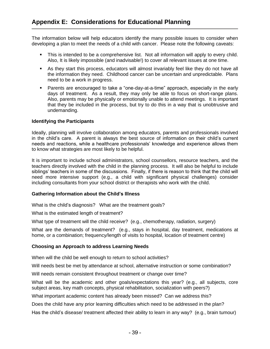The information below will help educators identify the many possible issues to consider when developing a plan to meet the needs of a child with cancer. Please note the following caveats:

- This is intended to be a comprehensive list. Not all information will apply to every child. Also, It is likely impossible (and inadvisable!) to cover all relevant issues at one time.
- As they start this process, educators will almost invariably feel like they do not have all the information they need. Childhood cancer can be uncertain and unpredictable. Plans need to be a work in progress.
- Parents are encouraged to take a "one-day-at-a-time" approach, especially in the early days of treatment. As a result, they may only be able to focus on short-range plans. Also, parents may be physically or emotionally unable to attend meetings. It is important that they be included in the process, but try to do this in a way that is unobtrusive and undemanding.

#### **Identifying the Participants**

Ideally, planning will involve collaboration among educators, parents and professionals involved in the child's care. A parent is always the best source of information on their child's current needs and reactions, while a healthcare professionals' knowledge and experience allows them to know what strategies are most likely to be helpful.

It is important to include school administrators, school counsellors, resource teachers, and the teachers directly involved with the child in the planning process. It will also be helpful to include siblings' teachers in some of the discussions. Finally, if there is reason to think that the child will need more intensive support (e.g., a child with significant physical challenges) consider including consultants from your school district or therapists who work with the child.

#### **Gathering Information about the Child's Illness**

What is the child's diagnosis? What are the treatment goals?

What is the estimated length of treatment?

What type of treatment will the child receive? (e.g., chemotherapy, radiation, surgery)

What are the demands of treatment? (e.g., stays in hospital, day treatment, medications at home, or a combination; frequency/length of visits to hospital, location of treatment centre)

#### **Choosing an Approach to address Learning Needs**

When will the child be well enough to return to school activities?

Will needs best be met by attendance at school, alternative instruction or some combination?

Will needs remain consistent throughout treatment or change over time?

What will be the academic and other goals/expectations this year? (e.g., all subjects, core subject areas, key math concepts, physical rehabilitation, socialization with peers?)

What important academic content has already been missed? Can we address this?

Does the child have any prior learning difficulties which need to be addressed in the plan?

Has the child's disease/ treatment affected their ability to learn in any way? (e.g., brain tumour)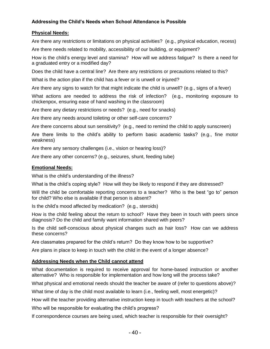#### **Addressing the Child's Needs when School Attendance is Possible**

#### **Physical Needs:**

Are there any restrictions or limitations on physical activities? (e.g., physical education, recess)

Are there needs related to mobility, accessibility of our building, or equipment?

How is the child's energy level and stamina? How will we address fatigue? Is there a need for a graduated entry or a modified day?

Does the child have a central line? Are there any restrictions or precautions related to this?

What is the action plan if the child has a fever or is unwell or injured?

Are there any signs to watch for that might indicate the child is unwell? (e.g., signs of a fever)

What actions are needed to address the risk of infection? (e.g., monitoring exposure to chickenpox, ensuring ease of hand washing in the classroom)

Are there any dietary restrictions or needs? (e.g., need for snacks)

Are there any needs around toileting or other self-care concerns?

Are there concerns about sun sensitivity? (e.g., need to remind the child to apply sunscreen)

Are there limits to the child's ability to perform basic academic tasks? (e.g., fine motor weakness)

Are there any sensory challenges (i.e., vision or hearing loss)?

Are there any other concerns? (e.g., seizures, shunt, feeding tube)

#### **Emotional Needs:**

What is the child's understanding of the illness?

What is the child's coping style? How will they be likely to respond if they are distressed?

Will the child be comfortable reporting concerns to a teacher? Who is the best "go to" person for child? Who else is available if that person is absent?

Is the child's mood affected by medication? (e.g., steroids)

How is the child feeling about the return to school? Have they been in touch with peers since diagnosis? Do the child and family want information shared with peers?

Is the child self-conscious about physical changes such as hair loss? How can we address these concerns?

Are classmates prepared for the child's return? Do they know how to be supportive?

Are plans in place to keep in touch with the child in the event of a longer absence?

#### **Addressing Needs when the Child cannot attend**

What documentation is required to receive approval for home-based instruction or another alternative? Who is responsible for implementation and how long will the process take?

What physical and emotional needs should the teacher be aware of (refer to questions above)?

What time of day is the child most available to learn (i.e., feeling well, most energetic)?

How will the teacher providing alternative instruction keep in touch with teachers at the school?

Who will be responsible for evaluating the child's progress?

If correspondence courses are being used, which teacher is responsible for their oversight?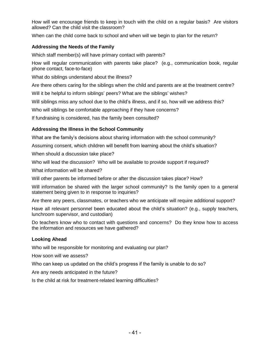How will we encourage friends to keep in touch with the child on a regular basis? Are visitors allowed? Can the child visit the classroom?

When can the child come back to school and when will we begin to plan for the return?

#### **Addressing the Needs of the Family**

Which staff member(s) will have primary contact with parents?

How will regular communication with parents take place? (e.g., communication book, regular phone contact, face-to-face)

What do siblings understand about the illness?

Are there others caring for the siblings when the child and parents are at the treatment centre?

Will it be helpful to inform siblings' peers? What are the siblings' wishes?

Will siblings miss any school due to the child's illness, and if so, how will we address this?

Who will siblings be comfortable approaching if they have concerns?

If fundraising is considered, has the family been consulted?

#### **Addressing the Illness in the School Community**

What are the family's decisions about sharing information with the school community?

Assuming consent, which children will benefit from learning about the child's situation?

When should a discussion take place?

Who will lead the discussion? Who will be available to provide support if required?

What information will be shared?

Will other parents be informed before or after the discussion takes place? How?

Will information be shared with the larger school community? Is the family open to a general statement being given to in response to inquiries?

Are there any peers, classmates, or teachers who we anticipate will require additional support?

Have all relevant personnel been educated about the child's situation? (e.g., supply teachers, lunchroom supervisor, and custodian)

Do teachers know who to contact with questions and concerns? Do they know how to access the information and resources we have gathered?

#### **Looking Ahead**

Who will be responsible for monitoring and evaluating our plan?

How soon will we assess?

Who can keep us updated on the child's progress if the family is unable to do so?

Are any needs anticipated in the future?

Is the child at risk for treatment-related learning difficulties?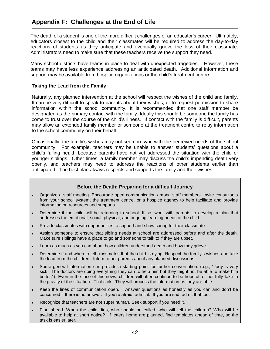The death of a student is one of the more difficult challenges of an educator's career. Ultimately, educators closest to the child and their classmates will be required to address the day-to-day reactions of students as they anticipate and eventually grieve the loss of their classmate. Administrators need to make sure that these teachers receive the support they need.

Many school districts have teams in place to deal with unexpected tragedies. However, these teams may have less experience addressing an anticipated death. Additional information and support may be available from hospice organizations or the child's treatment centre.

#### **Taking the Lead from the Family**

Naturally, any planned intervention at the school will respect the wishes of the child and family. It can be very difficult to speak to parents about their wishes, or to request permission to share information within the school community. It is recommended that one staff member be designated as the primary contact with the family. Ideally this should be someone the family has come to trust over the course of the child's illness. If contact with the family is difficult, parents may allow an extended family member or someone at the treatment centre to relay information to the school community on their behalf.

Occasionally, the family's wishes may not seem in sync with the perceived needs of the school community. For example, teachers may be unable to answer students' questions about a child's failing health because parents have not yet addressed the situation with the child or younger siblings. Other times, a family member may discuss the child's impending death very openly, and teachers may need to address the reactions of other students earlier than anticipated. The best plan always respects and supports the family and their wishes.

#### **Before the Death: Preparing for a difficult Journey**

- Organize a staff meeting. Encourage open communication among staff members. Invite consultants  $\bullet$ from your school system, the treatment centre, or a hospice agency to help facilitate and provide information on resources and supports.
- Determine if the child will be returning to school. If so, work with parents to develop a plan that addresses the emotional, social, physical, and ongoing learning needs of the child.
- Provide classmates with opportunities to support and show caring for their classmate.  $\bullet$
- Assign someone to ensure that sibling needs at school are addressed before and after the death. Make sure siblings have a place to go and someone to talk to if they are upset.
- Learn as much as you can about how children understand death and how they grieve.
- Determine if and when to tell classmates that the child is dying. Respect the family's wishes and take the lead from the children. Inform other parents about any planned discussions.
- Some general information can provide a starting point for further conversation. (e.g., "Joey is very sick. The doctors are doing everything they can to help him but they might not be able to make him better.") Even in the face of this news, children will often continue to be hopeful, or not fully take in the gravity of the situation. That's ok. They will process the information as they are able.
- Keep the lines of communication open. Answer questions as honestly as you can and don't be concerned if there is no answer. If you're afraid, admit it. If you are sad, admit that too.
- Recognize that teachers are not super human. Seek support if you need it.
- Plan ahead. When the child dies, who should be called, who will tell the children? Who will be available to help at short notice? If letters home are planned, find templates ahead of time, so the task is easier later.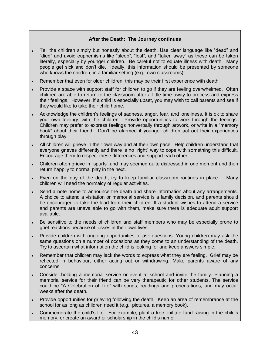#### **After the Death: The Journey continues**

- Tell the children simply but honestly about the death. Use clear language like "dead" and "died" and avoid euphemisms like "sleep", "lost", and "taken away" as these can be taken literally, especially by younger children. Be careful not to equate illness with death. Many people get sick and don't die. Ideally, this information should be presented by someone who knows the children, in a familiar setting (e.g., own classrooms).
- Remember that even for older children, this may be their first experience with death.
- Provide a space with support staff for children to go if they are feeling overwhelmed. Often children are able to return to the classroom after a little time away to process and express their feelings. However, if a child is especially upset, you may wish to call parents and see if they would like to take their child home.
- Acknowledge the children's feelings of sadness, anger, fear, and loneliness. It is ok to share your own feelings with the children. Provide opportunities to work through the feelings. Children may prefer to express feelings nonverbally through artwork, or write in a "memory book" about their friend. Don't be alarmed if younger children act out their experiences through play.
- All children will grieve in their own way and at their own pace. Help children understand that everyone grieves differently and there is no "right" way to cope with something this difficult. Encourage them to respect these differences and support each other.
- Children often grieve in "spurts" and may seemed quite distressed in one moment and then return happily to normal play in the next.
- Even on the day of the death, try to keep familiar classroom routines in place. Many children will need the normalcy of regular activities.
- Send a note home to announce the death and share information about any arrangements. A choice to attend a visitation or memorial service is a family decision, and parents should be encouraged to take the lead from their children. If a student wishes to attend a service and parents are unavailable to go with them, make sure there is adequate adult support available.
- Be sensitive to the needs of children and staff members who may be especially prone to grief reactions because of losses in their own lives.
- Provide children with ongoing opportunities to ask questions. Young children may ask the same questions on a number of occasions as they come to an understanding of the death. Try to ascertain what information the child is looking for and keep answers simple.
- Remember that children may lack the words to express what they are feeling. Grief may be reflected in behaviour, either acting out or withdrawing. Make parents aware of any concerns.
- Consider holding a memorial service or event at school and invite the family. Planning a memorial service for their friend can be very therapeutic for other students. The service could be "A Celebration of Life" with songs, readings and presentations, and may occur weeks after the death.
- Provide opportunities for grieving following the death. Keep an area of remembrance at the school for as long as children need it (e.g., pictures, a memory book).
- Commemorate the child's life. For example, plant a tree, initiate fund raising in the child's memory, or create an award or scholarship in the child's name.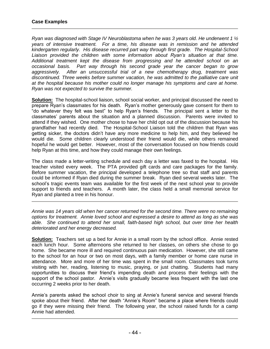*Ryan was diagnosed with Stage IV Neuroblastoma when he was 3 years old. He underwent 1 ½ years of intensive treatment. For a time, his disease was in remission and he attended kindergarten regularly. His disease recurred part way through first grade. The Hospital-School Liaison provided the children with some information about Ryan"s situation at that time. Additional treatment kept the disease from progressing and he attended school on an occasional basis. Part way through his second grade year the cancer began to grow aggressively. After an unsuccessful trial of a new chemotherapy drug, treatment was discontinued. Three weeks before summer vacation, he was admitted to the palliative care unit at the hospital because his mother could no longer manage his symptoms and care at home. Ryan was not expected to survive the summer.* 

**Solution:** The hospital-school liaison, school social worker, and principal discussed the need to prepare Ryan's classmates for his death. Ryan's mother generously gave consent for them to "do whatever they felt was best" to help Ryan's friends. The principal sent a letter to the classmates' parents about the situation and a planned discussion. Parents were invited to attend if they wished. One mother chose to have her child opt out of the discussion because his grandfather had recently died. The Hospital-School Liaison told the children that Ryan was getting sicker, the doctors didn't have any more medicine to help him, and they believed he would die. Some children clearly understood their friend would die, while others remained hopeful he would get better. However, most of the conversation focused on how friends could help Ryan at this time, and how they could manage their own feelings.

The class made a letter-writing schedule and each day a letter was faxed to the hospital. His teacher visited every week. The PTA provided gift cards and care packages for the family. Before summer vacation, the principal developed a telephone tree so that staff and parents could be informed if Ryan died during the summer break. Ryan died several weeks later. The school's tragic events team was available for the first week of the next school year to provide support to friends and teachers. A month later, the class held a small memorial service for Ryan and planted a tree in his honour.

*Annie was 14 years old when her cancer returned for the second time. There were no remaining options for treatment. Annie loved school and expressed a desire to attend as long as she was able. She continued to attend her small, faith-based high school, but over time her health deteriorated and her energy decreased.* 

**Solution:** Teachers set up a bed for Annie in a small room by the school office. Annie rested each lunch hour. Some afternoons she returned to her classes, on others she chose to go home. She became more ill and required continuous pain medication. However, she still came to the school for an hour or two on most days, with a family member or home care nurse in attendance. More and more of her time was spent in the small room. Classmates took turns visiting with her, reading, listening to music, praying, or just chatting. Students had many opportunities to discuss their friend's impending death and process their feelings with the support of the school pastor. Annie's visits gradually became less frequent with the last one occurring 2 weeks prior to her death.

Annie's parents asked the school choir to sing at Annie's funeral service and several friends spoke about their friend. After her death "Annie's Room" became a place where friends could go if they were missing their friend. The following year, the school raised funds for a camp Annie had attended.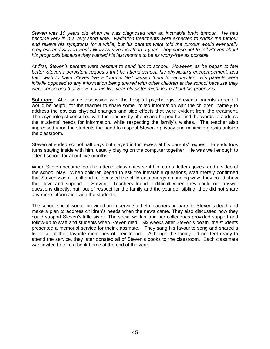*Steven was 10 years old when he was diagnosed with an incurable brain tumour. He had become very ill in a very short time. Radiation treatments were expected to shrink the tumour and relieve his symptoms for a while, but his parents were told the tumour would eventually progress and Steven would likely survive less than a year. They chose not to tell Steven about his prognosis because they wanted his last months to be as worry-free as possible.* 

*At first, Steven"s parents were hesitant to send him to school. However, as he began to feel better Steven"s persistent requests that he attend school, his physician"s encouragement, and their wish to have Steven live a "normal life" caused them to reconsider. His parents were initially opposed to any information being shared with other children at the school because they were concerned that Steven or his five-year-old sister might learn about his prognosis.* 

**Solution:** After some discussion with the hospital psychologist Steven's parents agreed it would be helpful for the teacher to share some limited information with the children, namely to address the obvious physical changes and side effects that were evident from the treatment. The psychologist consulted with the teacher by phone and helped her find the words to address the students' needs for information, while respecting the family's wishes. The teacher also impressed upon the students the need to respect Steven's privacy and minimize gossip outside the classroom.

Steven attended school half days but stayed in for recess at his parents' request. Friends took turns staying inside with him, usually playing on the computer together. He was well enough to attend school for about five months.

When Steven became too ill to attend, classmates sent him cards, letters, jokes, and a video of the school play. When children began to ask the inevitable questions, staff merely confirmed that Steven was quite ill and re-focussed the children's energy on finding ways they could show their love and support of Steven. Teachers found it difficult when they could not answer questions directly, but, out of respect for the family and the younger sibling, they did not share any more information with the students.

The school social worker provided an in-service to help teachers prepare for Steven's death and make a plan to address children's needs when the news came. They also discussed how they could support Steven's little sister. The social worker and her colleagues provided support and follow-up to staff and students when Steven died. Six weeks after Steven's death, the students presented a memorial service for their classmate. They sang his favourite song and shared a list of all of their favorite memories of their friend. Although the family did not feel ready to attend the service, they later donated all of Steven's books to the classroom. Each classmate was invited to take a book home at the end of the year.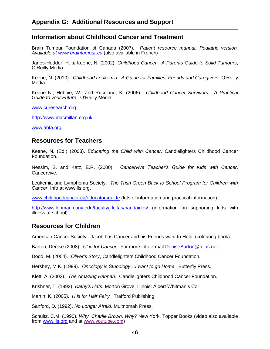### **Information about Childhood Cancer and Treatment**

Brain Tumour Foundation of Canada (2007). *Patient resource manual: Pediatric version. Available at [www.braintumour.ca](http://www.braintumour.ca/)* (also available in French)

Janes-Hodder, H. & Keene, N. (2002), *Childhood Cancer: A Parents Guide to Solid Tumours*, O'Reilly Media.

Keene, N. (2010). *Childhood Leukemia: A Guide for Families, Friends and Caregivers*. O'Reilly Media.

Keene N., Hobbie, W., and Ruccione, K. (2006). *Childhood Cancer Survivors: A Practical Guide to your Future*. O'Reilly Media.

[www.curesearch.org](http://www.curesearch.org/)

[http://www.macmillan.org.uk](http://www.macmillan.org.uk/)

[www.abta.org](http://www.abta.org/)

#### **Resources for Teachers**

Keene, N. (Ed.) (2003). *Educating the Child with Cancer*. Candlelighters Childhood Cancer Foundation.

Nessim, S. and Katz, E.R. (2000). *Cancervive Teacher"s Guide for Kids with Cancer*. Cancervive.

Leukemia and Lymphoma Society. *The Trish Green Back to School Program for Children with Cancer*. Info at www.lls.org.

[www.childhoodcancer.ca/educatorsguide](http://www.childhoodcancer.ca/educatorsguide) (lots of information and practical information)

<http://www.lehman.cuny.edu/faculty/jfleitas/bandaides/> (information on supporting kids with illness at school)

### **Resources for Children**

American Cancer Society. Jacob has Cancer and his Friends want to Help. (colouring book).

Barton, Denise (2008). *"C" is for Cancer*. For more info e-mail [DeniseBarton@telus.net.](mailto:DeniseBarton@telus.net)

Dodd, M. (2004). *Oliver"s Story*, Candlelighters Childhood Cancer Foundation.

Hershey, M.K. (1999). *Oncology is Stupology…I want to go Home*. Butterfly Press.

Klett, A. (2002). *The Amazing Hannah*. Candlelighters Childhood Cancer Foundation.

Krishner, T. (1992). *Kathy"s Hats*. Morton Grove, Illinois: Albert Whitman's Co.

Martin, K. (2005). *H is for Hair Fairy.* Trafford Publishing.

Sanford, D. (1992). *No Longer Afraid*. Multnomah Press.

Schultz, C.M. (1990). *Why, Charlie Brown, Why?* New York, Topper Books (video also available from [www.lls.org](http://www.lls.org/) and at [www.youtube.com\)](http://www.youtube.com/)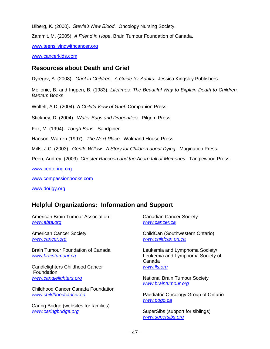Ulberg, K. (2000). *Stevie"s New Blood.* Oncology Nursing Society.

Zammit, M. (2005). *A Friend in Hope*. Brain Tumour Foundation of Canada.

[www.teenslivingwithcancer.org](http://www.teenslivingwithcancer.org/)

[www.cancerkids.com](http://www.cancerkids.com/)

### **Resources about Death and Grief**

Dyregrv, A. (2008). *Grief in Children: A Guide for Adults*. Jessica Kingsley Publishers.

Mellonie, B. and Ingpen, B. (1983). *Lifetimes: The Beautiful Way to Explain Death to Children. Bantam* Books.

Wolfelt, A.D. (2004). *A Child"s View of Grief.* Companion Press.

Stickney, D. (2004). *Water Bugs and Dragonflies*. Pilgrim Press.

Fox, M. (1994). *Tough Boris*. Sandpiper.

Hanson, Warren (1997). *The Next Place*. Walmand House Press.

Mills, J.C. (2003). *Gentle Willow: A Story for Children about Dying*. Magination Press.

Peen, Audrey. (2009). *Chester Raccoon and the Acorn full of Memories*. Tanglewood Press.

[www.centering.org](http://www.centering.org/)

[www.compassionbooks.com](http://www.compassionbooks.com/)

[www.dougy.org](http://www.dougy.org/)

### **Helpful Organizations: Information and Support**

American Brain Tumour Association : *[www.abta.org](http://www.abta.org/)*

American Cancer Society *[www.cancer.org](http://www.cancer.org/)*

Brain Tumour Foundation of Canada *[www.braintumour.ca](http://www.braintumour.ca/)*

Candlelighters Childhood Cancer **Foundation** *[www.candlelighters.org](http://www.candlelighters.org/)*

Childhood Cancer Canada Foundation *[www.childhoodcancer.ca](http://www.childhoodcancer.ca/)*

Caring Bridge (websites for families) *[www.caringbridge.org](http://www.caringbridge.org/)*

Canadian Cancer Society *[www.cancer.ca](http://www.cancer.ca/)*

ChildCan (Southwestern Ontario) *[www.childcan.on.ca](http://www.childcan.on.ca/)*

Leukemia and Lymphoma Society/ Leukemia and Lymphoma Society of Canada *[www.lls.org](http://www.lls.org/)*

National Brain Tumour Society *[www.braintumour.org](http://www.braintumour.org/)*

Paediatric Oncology Group of Ontario *[www.pogo.ca](http://www.pogo.ca/)*

SuperSibs (support for siblings) *[www.supersibs.org](http://www.supersibs.org/)*